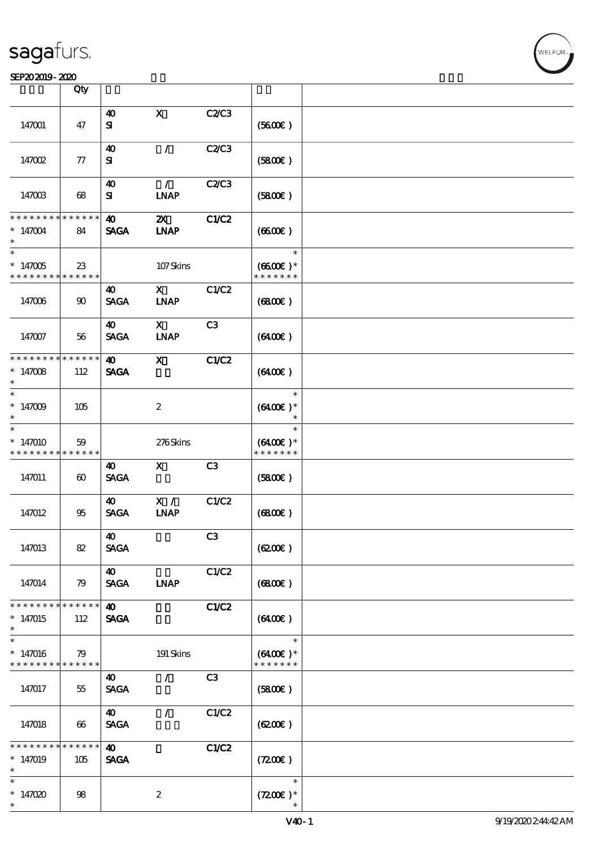#### SEP202019-2020 BEER AND EXAMPLE TO A LIMITED A LIMITED AND THE SEPEDENT CONTROL CONTROL CONTROL CONTROL CONTROL CONTROL CONTROL CONTROL CONTROL CONTROL CONTROL CONTROL CONTROL CONTROL CONTROL CONTROL CONTROL CONTROL CONTRO

|                                         | Qty                       |                                      |                                   |                |                                              |  |
|-----------------------------------------|---------------------------|--------------------------------------|-----------------------------------|----------------|----------------------------------------------|--|
|                                         |                           |                                      | $\mathbf x$                       | C2C3           |                                              |  |
| 147001                                  | 47                        | 40<br>${\bf s}$                      |                                   |                | (5600)                                       |  |
| 147002                                  | $77\,$                    | 40<br>${\bf s}$                      | $\mathcal{L}$                     | C2/C3          | (5800)                                       |  |
| 147003                                  | 68                        | $\boldsymbol{\omega}$<br>${\bf s}$   | $\mathcal{F}$<br><b>INAP</b>      | C2C3           | (5800)                                       |  |
| * * * * * * * *<br>$*147004$            | * * * * * *<br>84         | $\boldsymbol{\omega}$<br><b>SAGA</b> | $\boldsymbol{\mathsf{Z}}$<br>INAP | C1/C2          | (660E)                                       |  |
| $\ast$<br>$*147005$<br>* * * * * * * *  | $23\,$<br>$* * * * * * *$ |                                      | 107Skins                          |                | $\ast$<br>$(6600\text{E})*$<br>* * * * * * * |  |
| 147006                                  | $90^{\circ}$              | 40<br><b>SAGA</b>                    | $\mathbf{X}$<br><b>INAP</b>       | C1/C2          | (6800)                                       |  |
| 147007                                  | 56                        | 40<br><b>SAGA</b>                    | $\mathbf{x}$<br>INAP              | C3             | (6400)                                       |  |
| * * * * * * * *<br>* $147008$<br>$\ast$ | $* * * * * * *$<br>112    | $\boldsymbol{\omega}$<br><b>SAGA</b> | $\boldsymbol{\mathsf{X}}$         | C1/C2          | (6400)                                       |  |
| $\ast$<br>$*147009$<br>$\ast$           | 105                       |                                      | $\boldsymbol{2}$                  |                | $\ast$<br>$(6400)$ *<br>$\ast$               |  |
| $\ast$<br>$*147010$<br>* * * * * * * *  | 59<br>* * * * * *         |                                      | 276Skins                          |                | $\ast$<br>$(6400)$ *<br>* * * * * * *        |  |
| 147011                                  | $\boldsymbol{\omega}$     | 40<br><b>SAGA</b>                    | $\mathbf{x}$                      | C <sub>3</sub> | (5800)                                       |  |
| 147012                                  | 95                        | $\boldsymbol{\omega}$<br><b>SAGA</b> | X /<br><b>INAP</b>                | C1/C2          | (6800)                                       |  |
| 147013                                  | 82                        | 40<br><b>SAGA</b>                    |                                   | C <sub>3</sub> | (6200)                                       |  |
| 147014                                  | 79                        | 40<br><b>SAGA</b>                    | <b>INAP</b>                       | C1/C2          | (680)                                        |  |
| * * * * * * * *<br>$*147015$<br>$\ast$  | * * * * * *<br>112        | $\boldsymbol{\omega}$<br><b>SAGA</b> |                                   | C1/C2          | (6400)                                       |  |
| $\ast$<br>$*147016$<br>* * * * * * * *  | 79<br>* * * * * *         |                                      | 191 Skins                         |                | $\ast$<br>$(6400)$ *<br>* * * * * * *        |  |
| 147017                                  | 55                        | 40<br><b>SAGA</b>                    | $\mathcal{L}$                     | C3             | (5800)                                       |  |
| 147018                                  | 66                        | $\boldsymbol{\omega}$<br><b>SAGA</b> | $\prime$                          | C1/C2          | (6200)                                       |  |
| * * * * * * *<br>$*147019$<br>$\ast$    | * * * * * *<br>105        | 40<br><b>SAGA</b>                    |                                   | C1/C2          | (7200)                                       |  |
| $\ast$<br>$*147020$<br>$\ast$           | 98                        |                                      | $\boldsymbol{2}$                  |                | $\ast$<br>$(7200)$ *                         |  |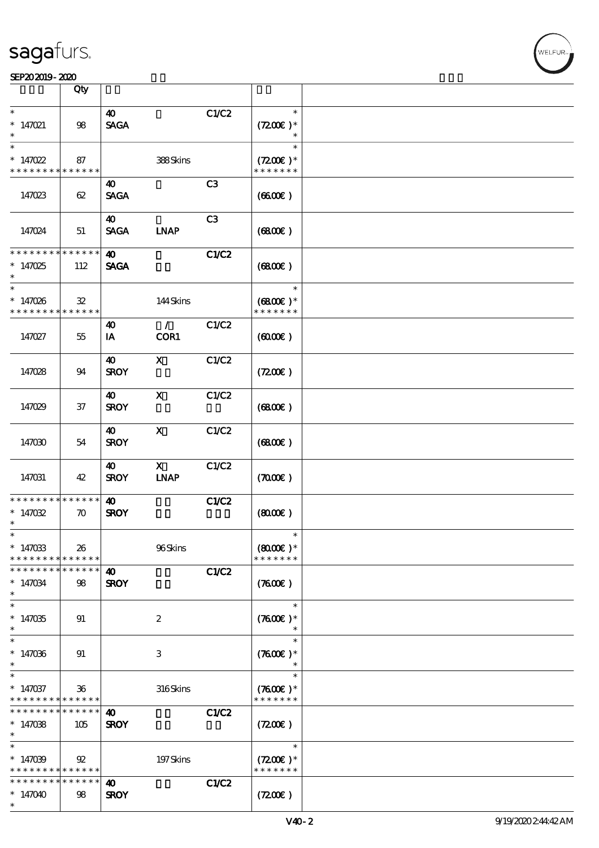|                          | Qty                |                       |                           |                |                      |  |
|--------------------------|--------------------|-----------------------|---------------------------|----------------|----------------------|--|
| $\ast$                   |                    | $\boldsymbol{\omega}$ |                           | C1/C2          | $\ast$               |  |
| $* 147021$               | $98\,$             | <b>SAGA</b>           |                           |                | $(7200)$ *           |  |
|                          |                    |                       |                           |                |                      |  |
| $\ast$                   |                    |                       |                           |                | $\ast$               |  |
| $*147022$                | 87                 |                       | 388Skins                  |                | $(7200)$ *           |  |
| * * * * * * * *          | * * * * * *        |                       |                           |                | * * * * * * *        |  |
|                          |                    | 40                    |                           | C <sub>3</sub> |                      |  |
|                          | 62                 | <b>SAGA</b>           |                           |                | (660)                |  |
| 147023                   |                    |                       |                           |                |                      |  |
|                          |                    | $\boldsymbol{\omega}$ |                           | C3             |                      |  |
|                          |                    | <b>SAGA</b>           | <b>INAP</b>               |                |                      |  |
| 147024                   | 51                 |                       |                           |                | (6800)               |  |
| * * * * * * * *          | * * * * * *        | $\boldsymbol{\omega}$ |                           | C1/C2          |                      |  |
| $*147025$                | 112                | <b>SAGA</b>           |                           |                | (6800)               |  |
| $\ast$                   |                    |                       |                           |                |                      |  |
| $\ast$                   |                    |                       |                           |                | $\ast$               |  |
| $*147026$                | ${\bf 32}$         |                       | 144Skins                  |                | $(6800)$ *           |  |
| * * * * * * * *          | * * * * * *        |                       |                           |                | * * * * * * *        |  |
|                          |                    | $\boldsymbol{\omega}$ | $\mathcal{L}$             | C1/C2          |                      |  |
| 147027                   | 55                 | IA                    | COR1                      |                | (600)                |  |
|                          |                    |                       |                           |                |                      |  |
|                          |                    | 40                    | $\mathbf{x}$              | C1/C2          |                      |  |
| 147028                   | 94                 | <b>SROY</b>           |                           |                | (7200)               |  |
|                          |                    |                       |                           |                |                      |  |
|                          |                    | 40                    | $\mathbf{x}$              | C1/C2          |                      |  |
| 147029                   | $37\,$             | <b>SROY</b>           |                           |                | (6800)               |  |
|                          |                    |                       |                           |                |                      |  |
|                          |                    | $\boldsymbol{\omega}$ | $\mathbf x$               | C1/C2          |                      |  |
| 147030                   | 54                 | <b>SROY</b>           |                           |                | (6800)               |  |
|                          |                    |                       |                           |                |                      |  |
|                          |                    | 40                    | $\boldsymbol{\mathrm{X}}$ | C1/C2          |                      |  |
| 147031                   | 42                 | <b>SROY</b>           | <b>INAP</b>               |                | (7000)               |  |
|                          |                    |                       |                           |                |                      |  |
| * * * * * * * *          | * * * * * *        | $\boldsymbol{\omega}$ |                           | C1/C2          |                      |  |
| $*147032$                | $\boldsymbol{\pi}$ | <b>SROY</b>           |                           |                | (800)                |  |
| $\ast$                   |                    |                       |                           |                |                      |  |
| $\ast$                   |                    |                       |                           |                | $\ast$               |  |
| $*147033$                | 26                 |                       | 96Skins                   |                | $(8000\varepsilon)*$ |  |
| * * * * * * * *          | * * * * * *        |                       |                           |                | * * * * * * *        |  |
| * * * * * * * *          | * * * * * *        | $\boldsymbol{\omega}$ |                           | C1/C2          |                      |  |
| $*147034$                | 98                 | <b>SROY</b>           |                           |                | (7600)               |  |
| $\ast$                   |                    |                       |                           |                |                      |  |
| $\overline{\phantom{0}}$ |                    |                       |                           |                | $\ast$               |  |
| $*147035$                | 91                 |                       | $\boldsymbol{2}$          |                | $(7600)$ *           |  |
| $\ast$                   |                    |                       |                           |                |                      |  |
| $\ast$                   |                    |                       |                           |                | $\ast$               |  |
| $*147036$                | 91                 |                       | 3                         |                | $(7600)$ *           |  |
| $\ast$                   |                    |                       |                           |                |                      |  |
| $\ast$                   |                    |                       |                           |                | $\ast$               |  |
| $* 147037$               | 36                 |                       | 316Skins                  |                | $(7600)$ *           |  |
| * * * * * * * *          | * * * * * *        |                       |                           |                | * * * * * * *        |  |
| * * * * * * * *          | * * * * * *        | $\boldsymbol{\omega}$ |                           | C1/C2          |                      |  |
| $*147038$                | 105                | <b>SROY</b>           |                           |                | (720)                |  |
| $\ast$                   |                    |                       |                           |                |                      |  |
| $\ast$                   |                    |                       |                           |                | $\ast$               |  |
| $*147039$                | 92                 |                       | 197Skins                  |                | $(7200)$ *           |  |
| * * * * * * * *          | * * * * * *        |                       |                           |                | * * * * * * *        |  |
| * * * * * * * *          | * * * * * *        | 40                    |                           | C1/C2          |                      |  |
| $*147040$                | 98                 | <b>SROY</b>           |                           |                | (7200)               |  |
| $\ast$                   |                    |                       |                           |                |                      |  |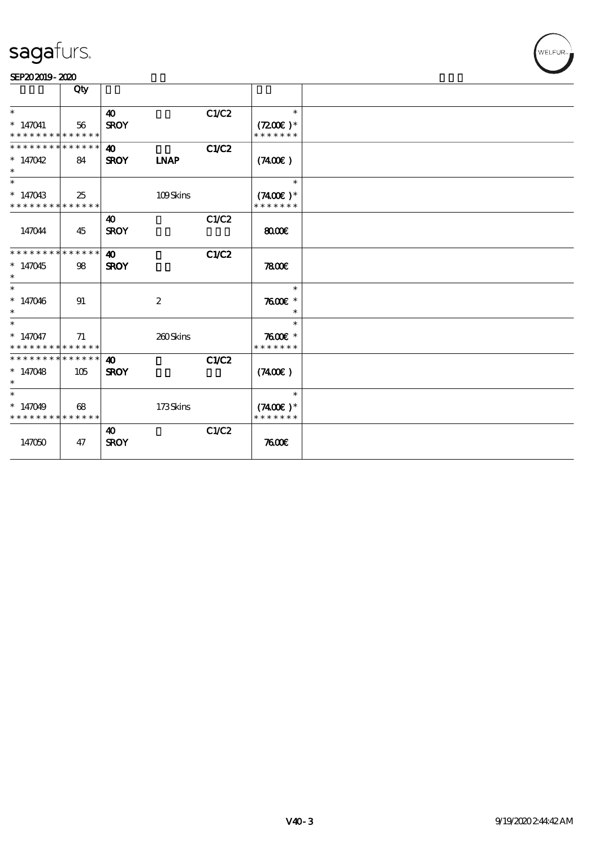#### SEP202019-2020

|                               | Qty |                        |                  |       |               |  |
|-------------------------------|-----|------------------------|------------------|-------|---------------|--|
| $\ast$                        |     | $\boldsymbol{\omega}$  |                  | C1/C2 | $\ast$        |  |
| $* 147041$                    | 56  | <b>SROY</b>            |                  |       | $(7200)$ *    |  |
| * * * * * * * * * * * * * *   |     |                        |                  |       | * * * * * * * |  |
| * * * * * * * * * * * * * * * |     | 40                     |                  | C1/C2 |               |  |
| $*147042$<br>$\ast$           | 84  | <b>SROY</b>            | <b>LNAP</b>      |       | (7400)        |  |
| $\ast$                        |     |                        |                  |       | $\ast$        |  |
| $* 147043$                    | 25  |                        | 109Skins         |       | $(7400)$ *    |  |
| * * * * * * * * * * * * * *   |     |                        |                  |       | * * * * * * * |  |
|                               |     | 40                     |                  | C1/C2 |               |  |
| 147044                        | 45  | <b>SROY</b>            |                  |       | 8000          |  |
| * * * * * * * * * * * * * *   |     | $\boldsymbol{\Lambda}$ |                  | C1/C2 |               |  |
| $*147045$<br>$\ast$           | 98  | <b>SROY</b>            |                  |       | 7800          |  |
| $\overline{\phantom{0}}$      |     |                        |                  |       | $\ast$        |  |
| $* 147046$<br>$\ast$          | 91  |                        | $\boldsymbol{2}$ |       | $7600$ $*$    |  |
| $\overline{\ast}$             |     |                        |                  |       | $\ast$        |  |
| $* 147047$                    | 71  |                        | 260Skins         |       | $7600$ $*$    |  |
| * * * * * * * * * * * * * *   |     |                        |                  |       | * * * * * * * |  |
| * * * * * * * * * * * * * * * |     | $\boldsymbol{\omega}$  |                  | C1/C2 |               |  |
| $*147048$<br>$\ast$           | 105 | <b>SROY</b>            |                  |       | (7400)        |  |
| $\overline{\ast}$             |     |                        |                  |       | $\ast$        |  |
| $* 147049$                    | 68  |                        | 173Skins         |       | $(7400)$ *    |  |
| * * * * * * * * * * * * * *   |     |                        |                  |       | * * * * * * * |  |
|                               |     | $\boldsymbol{\omega}$  |                  | C1/C2 |               |  |
| 147050                        | 47  | <b>SROY</b>            |                  |       | 7600          |  |
|                               |     |                        |                  |       |               |  |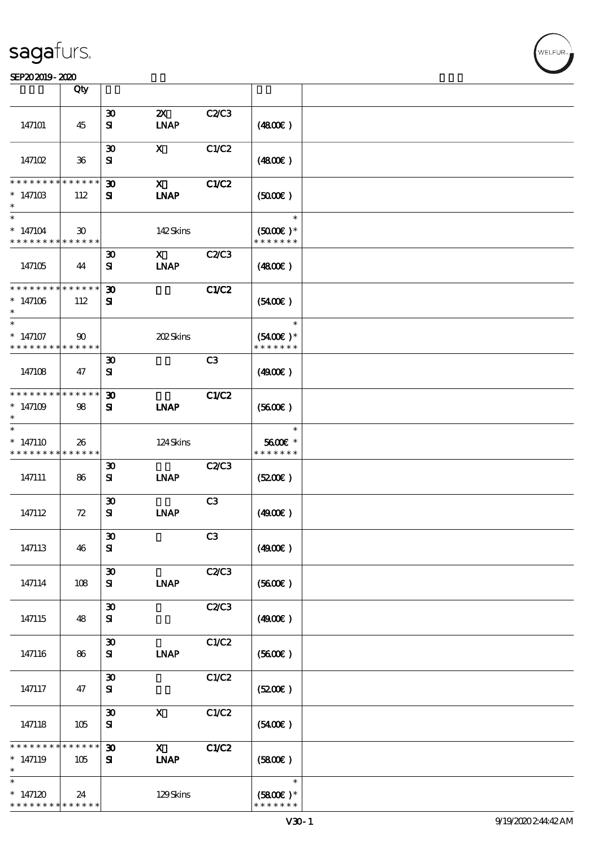| SEP202019-2020                                        |                                |                                          |                                          |              |                                       |  |
|-------------------------------------------------------|--------------------------------|------------------------------------------|------------------------------------------|--------------|---------------------------------------|--|
|                                                       | Qty                            |                                          |                                          |              |                                       |  |
| 147101                                                | 45                             | $\boldsymbol{\mathfrak{D}}$<br>${\bf s}$ | $\boldsymbol{\mathsf{Z}}$<br><b>INAP</b> | C2C3         | (4800)                                |  |
| 14710 <sub>2</sub>                                    | $36\,$                         | $\boldsymbol{\mathfrak{D}}$<br>${\bf s}$ | $\mathbf x$                              | C1/C2        | (4800)                                |  |
| * * * * * * * *<br>$*14710B$<br>$\ast$                | $* * * * * * *$<br>112         | $\boldsymbol{\mathfrak{D}}$<br>Я         | $\mathbf{x}$<br><b>INAP</b>              | C1/C2        | (500)                                 |  |
| $\ast$<br>$*147104$<br>* * * * * * * *                | 30 <sup>°</sup><br>* * * * * * |                                          | 142Skins                                 |              | $\ast$<br>$(5000)$ *<br>* * * * * * * |  |
| 147105                                                | 44                             | $\boldsymbol{\mathfrak{D}}$<br>${\bf s}$ | $\mathbf{x}$<br><b>LNAP</b>              | C2/C3        | (480E)                                |  |
| * * * * * * * *<br>$*147106$<br>$\ast$                | * * * * * *<br>112             | $\boldsymbol{\mathfrak{D}}$<br>${\bf s}$ |                                          | C1/C2        | (5400)                                |  |
| $\overline{\ast}$<br>$*147107$<br>* * * * * * * *     | $90^{\circ}$<br>* * * * * *    |                                          | 202Skins                                 |              | $\ast$<br>$(5400)$ *<br>* * * * * * * |  |
| 147108                                                | 47                             | $\boldsymbol{\mathfrak{D}}$<br>${\bf s}$ |                                          | C3           | (490E)                                |  |
| * * * * * * * * * * * * * *<br>$*147109$<br>$\ast$    | 98                             | $\boldsymbol{\mathfrak{D}}$<br>${\bf s}$ | <b>INAP</b>                              | <b>C1/C2</b> | (5600)                                |  |
| $\ast$<br>$*147110$<br>* * * * * * * * * * * * * *    | 26                             |                                          | 124Skins                                 |              | $\ast$<br>5600€ *<br>* * * * * * *    |  |
| 147111                                                | 86                             | $\boldsymbol{\mathfrak{D}}$<br>${\bf s}$ | <b>INAP</b>                              | C2/C3        | (5200)                                |  |
| 147112                                                | 72                             | $\boldsymbol{\mathfrak{D}}$<br>${\bf s}$ | <b>LNAP</b>                              | C3           | (4900)                                |  |
| 147113                                                | 46                             | $\boldsymbol{\mathfrak{D}}$<br>${\bf s}$ |                                          | C3           | (4900)                                |  |
| 147114                                                | 108                            | $\boldsymbol{\mathfrak{D}}$<br>${\bf s}$ | <b>INAP</b>                              | C2/C3        | (5600)                                |  |
| 147115                                                | 48                             | $\boldsymbol{\mathfrak{D}}$<br>${\bf s}$ |                                          | C2/C3        | (4900)                                |  |
| 147116                                                | 86                             | $\boldsymbol{\mathfrak{D}}$<br>${\bf s}$ | <b>LNAP</b>                              | C1/C2        | (5600)                                |  |
| 147117                                                | 47                             | $\boldsymbol{\mathfrak{D}}$<br>${\bf s}$ |                                          | C1/C2        | (5200)                                |  |
| 147118                                                | 105                            | $\boldsymbol{\mathfrak{D}}$<br>${\bf s}$ | $\mathbf{x}$                             | C1/C2        | (5400)                                |  |
| * * * * * * *<br>$*147119$<br>$\ast$                  | $***$ * * *<br>105             | $\boldsymbol{\mathfrak{D}}$<br>${\bf s}$ | $\mathbf{x}$<br><b>INAP</b>              | C1/C2        | (5800)                                |  |
| $\ast$<br>$*147120$<br>* * * * * * * * <mark>*</mark> | 24<br>$* * * * * * *$          |                                          | 129Skins                                 |              | $\ast$<br>$(5800)$ *<br>* * * * * * * |  |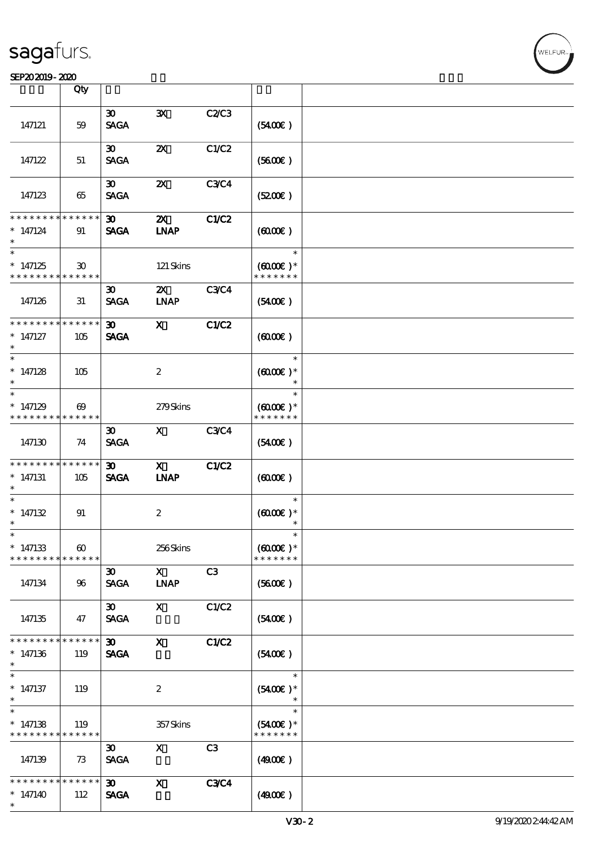### SEP202019-2020

|                                                                   | Qty                                  |                                            |                                          |                |                                                 |  |
|-------------------------------------------------------------------|--------------------------------------|--------------------------------------------|------------------------------------------|----------------|-------------------------------------------------|--|
|                                                                   |                                      |                                            |                                          |                |                                                 |  |
| 147121                                                            | 59                                   | $\boldsymbol{\mathfrak{D}}$<br><b>SAGA</b> | $\mathbf{x}$                             | C2/C3          | (5400)                                          |  |
| 147122                                                            | 51                                   | 30 <sup>2</sup><br><b>SAGA</b>             | $\boldsymbol{\mathsf{Z}}$                | C1/C2          | (5600)                                          |  |
| 147123                                                            | 65                                   | 30 <sup>2</sup><br><b>SAGA</b>             | $\boldsymbol{\mathsf{z}}$                | <b>C3C4</b>    | (5200)                                          |  |
| * * * * * * * *                                                   | * * * * * *                          |                                            |                                          |                |                                                 |  |
| $* 147124$<br>$\ast$                                              | 91                                   | 30 <sub>o</sub><br><b>SAGA</b>             | $\boldsymbol{\mathsf{Z}}$<br><b>INAP</b> | C1/C2          | (6000)                                          |  |
| $\ast$<br>$*147125$<br>* * * * * * * *                            | $\mathfrak{D}$<br>* * * * * *        |                                            | 121 Skins                                |                | $\ast$<br>$(6000\varepsilon)*$<br>* * * * * * * |  |
| 147126                                                            | 31                                   | $\boldsymbol{\mathfrak{D}}$<br><b>SAGA</b> | $\boldsymbol{\alpha}$<br><b>INAP</b>     | <b>C3C4</b>    | $(5400\varepsilon)$                             |  |
| * * * * * * *                                                     | * * * * * *                          | 30 <sub>o</sub>                            | $\mathbf{x}$                             | C1/C2          |                                                 |  |
| $* 147127$<br>$\ast$                                              | 105                                  | <b>SAGA</b>                                |                                          |                | (6000)                                          |  |
| $\ast$                                                            |                                      |                                            |                                          |                | $\ast$                                          |  |
| $*147128$<br>$\ast$<br>$\ast$                                     | 105                                  |                                            | $\boldsymbol{2}$                         |                | $(6000\varepsilon)*$<br>$\ast$<br>$\ast$        |  |
|                                                                   |                                      |                                            |                                          |                |                                                 |  |
| $*147129$<br>* * * * * * * *                                      | $\boldsymbol{\omega}$<br>* * * * * * |                                            | 279Skins                                 |                | $(6000\varepsilon)*$<br>* * * * * * *           |  |
| 147130                                                            | 74                                   | $\boldsymbol{\mathfrak{D}}$<br><b>SAGA</b> | $\mathbf{x}$                             | <b>C3C4</b>    | (5400)                                          |  |
| * * * * * * * * * * * * * *                                       |                                      | 30 <sup>2</sup>                            | $\mathbf{X}$                             | C1/C2          |                                                 |  |
| $*147131$<br>$\ast$                                               | 105                                  | <b>SAGA</b>                                | <b>INAP</b>                              |                | (0,000)                                         |  |
| $\ast$<br>$* 147132$<br>$\ast$                                    | 91                                   |                                            | $\boldsymbol{2}$                         |                | $\ast$<br>$(6000\varepsilon)*$                  |  |
|                                                                   |                                      |                                            |                                          |                |                                                 |  |
| $\ast$<br>$*147133$<br>* * * * * * * *                            | $\boldsymbol{\omega}$<br>* * * * * * |                                            | 256Skins                                 |                | $(6000\varepsilon)*$<br>* * * * * * *           |  |
| 147134                                                            | 96                                   | $\boldsymbol{\mathfrak{D}}$<br><b>SAGA</b> | $\mathbf{X}$<br><b>INAP</b>              | C <sub>3</sub> | (5600)                                          |  |
| 147135                                                            | 47                                   | 30 <sub>o</sub><br><b>SACA</b>             | $\mathbf{x}$                             | C1/C2          | (5400)                                          |  |
| * * * * * * * *<br>$* 147136$<br>$\ast$                           | * * * * * *<br>119                   | $\boldsymbol{\mathfrak{D}}$<br><b>SAGA</b> | $\mathbf{x}$                             | C1/C2          | $(5400\varepsilon)$                             |  |
| $\ast$<br>$*$ 147137<br>$\ast$                                    | 119                                  |                                            | $\boldsymbol{2}$                         |                | $\ast$<br>$(5400)$ *                            |  |
| $\ast$<br>$*147138$<br>* * * * * * * * <mark>* * * * * * *</mark> | 119                                  |                                            | 357Skins                                 |                | $\ast$<br>$(5400)$ *<br>* * * * * * *           |  |
| 147139                                                            | 73                                   | 30 <sup>2</sup><br><b>SAGA</b>             | X                                        | C3             | (490E)                                          |  |
| * * * * * * * *<br>$*147140$<br>$\ast$                            | $* * * * * * *$<br>112               | 30 <sup>2</sup><br><b>SAGA</b>             | $\mathbf{x}$                             | <b>C3C4</b>    | (490E)                                          |  |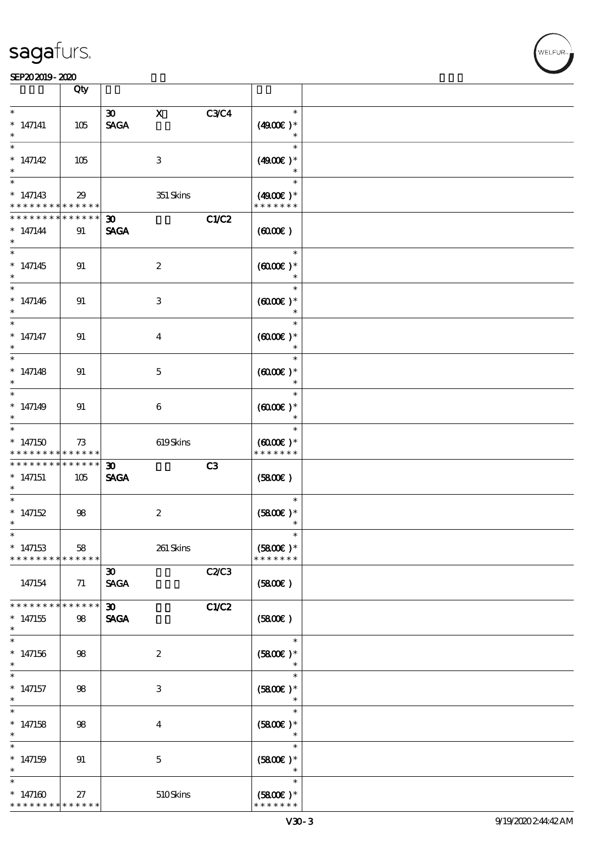**VELFUR** 

|                                                 | Qty                |                                                           |             |                                                    |  |
|-------------------------------------------------|--------------------|-----------------------------------------------------------|-------------|----------------------------------------------------|--|
| $\ast$<br>$*$ 147141<br>$\ast$                  | 105                | $\mathbf X$<br>$\boldsymbol{\mathfrak{D}}$<br><b>SAGA</b> | <b>C3C4</b> | $\ast$<br>$(4900)$ *<br>$\ast$                     |  |
| $\ast$<br>$* 147142$<br>$\ast$                  | 105                | 3                                                         |             | $\ast$<br>$(4900)$ *<br>$\ast$                     |  |
| $\ast$<br>$*147143$<br>* * * * * * * *          | 29<br>* * * * * *  |                                                           | $351$ Skins | $\ast$<br>$(4900)$ *<br>* * * * * * *              |  |
| * * * * * * *<br>$* 147144$<br>$\ast$           | * * * * * *<br>91  | $\boldsymbol{\mathfrak{D}}$<br><b>SAGA</b>                | C1/C2       | (6000)                                             |  |
| $\overline{\ast}$<br>$* 147145$<br>$\ast$       | 91                 | $\boldsymbol{2}$                                          |             | $\ast$<br>$(0,000)$ *<br>$\ast$                    |  |
| $\ast$<br>$* 147146$<br>$\ast$                  | 91                 | $\ensuremath{\mathsf{3}}$                                 |             | $\ast$<br>$(6000\varepsilon)*$<br>$\ast$           |  |
| $\ast$<br>$*$ 147147<br>$\ast$                  | 91                 | $\boldsymbol{4}$                                          |             | $\ast$<br>$(6000\varepsilon)*$<br>$\ast$           |  |
| $\ast$<br>$* 147148$<br>$\ast$<br>$\ast$        | 91                 | $\mathbf 5$                                               |             | $\ast$<br>$(6000\varepsilon)*$<br>$\ast$           |  |
| $* 147149$<br>$\ast$<br>$\ast$                  | 91                 | $\boldsymbol{6}$                                          |             | $\ast$<br>$(6000\varepsilon)*$<br>$\ast$<br>$\ast$ |  |
| $*147150$<br>* * * * * * * *                    | 73<br>* * * * * *  |                                                           | 619Skins    | $(6000\varepsilon)*$<br>* * * * * * *              |  |
| * * * * * * *<br>$* 147151$<br>$\ast$<br>$\ast$ | * * * * * *<br>105 | $\boldsymbol{\mathfrak{D}}$<br><b>SAGA</b>                | C3          | (5800)                                             |  |
| $*147152$<br>$\ast$                             | 98                 | $\boldsymbol{2}$                                          |             | $\ast$<br>$(5800)$ *<br>$\ast$                     |  |
| $\ast$<br>$* 147153$<br>* * * * * * * *         | 58<br>* * * * * *  |                                                           | 261 Skins   | $\ast$<br>$(5800)$ *<br>* * * * * * *              |  |
| 147154<br>* * * * * * *                         | 71                 | $\boldsymbol{\mathfrak{D}}$<br><b>SAGA</b>                | C2C3        | (5800)                                             |  |
| $*147155$<br>$\ast$                             | * * * * * *<br>98  | $\boldsymbol{\mathfrak{D}}$<br><b>SAGA</b>                | C1/C2       | (5800)                                             |  |
| $\ast$<br>$* 147156$<br>$\ast$<br>$\ast$        | 98                 | $\boldsymbol{2}$                                          |             | $\ast$<br>$(5800)$ *<br>$\ast$                     |  |
| $*$ 147157<br>$\ast$<br>$\overline{\ast}$       | 98                 | $\,3$                                                     |             | $\ast$<br>$(5800)$ *<br>$\ast$                     |  |
| $*$ 147158<br>$\ast$<br>$\ast$                  | $98$               | $\boldsymbol{4}$                                          |             | $\ast$<br>$(5800)$ *<br>$\ast$<br>$\ast$           |  |
| $* 147159$<br>$\ast$<br>$\ast$                  | 91                 | $\mathbf 5$                                               |             | $(5800)$ *<br>$\ast$<br>$\ast$                     |  |
| $*147160$<br>* * * * * * * *                    | 27<br>* * * * * *  |                                                           | $510$ Skins | $(5800)$ *<br>* * * * * * *                        |  |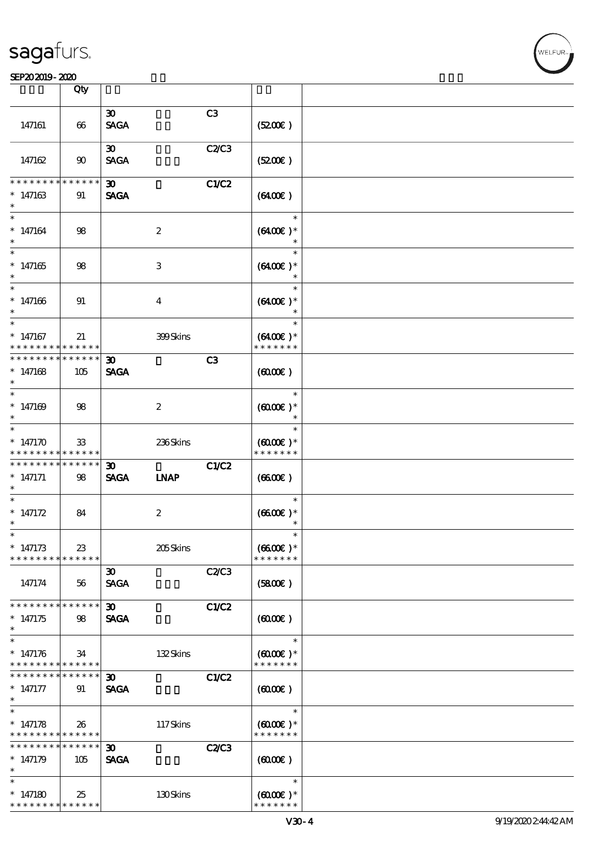|                                                        | Qty             |                                            |                  |              |                                       |  |
|--------------------------------------------------------|-----------------|--------------------------------------------|------------------|--------------|---------------------------------------|--|
|                                                        |                 |                                            |                  | C3           |                                       |  |
| 147161                                                 | 66              | $\boldsymbol{\mathfrak{D}}$<br><b>SAGA</b> |                  |              | (5200)                                |  |
|                                                        |                 | $\boldsymbol{\mathfrak{D}}$                |                  | C2/C3        |                                       |  |
| 147162                                                 | 90              | <b>SAGA</b>                                |                  |              | (5200)                                |  |
| * * * * * * *                                          | * * * * *       |                                            |                  |              |                                       |  |
| $*147163$                                              | 91              | 30 <sub>o</sub><br><b>SAGA</b>             |                  | C1/C2        | (6400)                                |  |
| $\ast$                                                 |                 |                                            |                  |              | $\ast$                                |  |
| $* 147164$                                             | 98              |                                            | $\boldsymbol{z}$ |              | $(6400)$ *<br>$\ast$                  |  |
| $\overline{\ast}$                                      |                 |                                            |                  |              | $\ast$                                |  |
| $*147165$                                              | 98              |                                            | 3                |              | $(6400E)*$                            |  |
| $\ast$                                                 |                 |                                            |                  |              | $\ast$                                |  |
| $* 147166$<br>$\ast$                                   | 91              |                                            | $\overline{4}$   |              | $(6400)$ *                            |  |
| $\ast$                                                 |                 |                                            |                  |              | $\ast$                                |  |
| $*147167$<br>* * * * * * * * <mark>*</mark>            | 21<br>******    |                                            | 399Skins         |              | $(6400)$ *<br>* * * * * * *           |  |
| * * * * * * * *                                        | $* * * * * * *$ | $\boldsymbol{\mathfrak{D}}$                |                  | C3           |                                       |  |
| $*147168$<br>$\ast$                                    | 105             | <b>SAGA</b>                                |                  |              | (6000)                                |  |
| $\ast$                                                 |                 |                                            |                  |              | $\ast$                                |  |
| $*147169$<br>$\ast$                                    | 98              |                                            | $\boldsymbol{z}$ |              | $(6000\varepsilon)*$<br>$\ast$        |  |
| $\ast$                                                 |                 |                                            |                  |              | $\ast$                                |  |
| * $147170$                                             | $33\,$          |                                            | 236Skins         |              | $(6000\varepsilon)*$                  |  |
| * * * * * * * *                                        | ******          |                                            |                  |              | * * * * * * *                         |  |
| * * * * * * * * <mark>* * * * * *</mark>               |                 | 30 <sub>o</sub>                            |                  | C1/C2        |                                       |  |
| $*$ 147171                                             | 98              | <b>SAGA</b>                                | <b>INAP</b>      |              | (6600)                                |  |
| $\ast$                                                 |                 |                                            |                  |              |                                       |  |
| $\ast$                                                 |                 |                                            |                  |              | $\ast$                                |  |
| * $147172$<br>$\ast$                                   | 84              |                                            | $\boldsymbol{2}$ |              | $(6600)$ *                            |  |
| $\ast$                                                 |                 |                                            |                  |              |                                       |  |
| $*147173$                                              | 23              |                                            | 205Skins         |              | $(6600\text{E})*$                     |  |
| * * * * * * * * <mark>* * * * * *</mark>               |                 |                                            |                  |              | * * * * * * *                         |  |
|                                                        |                 | $\boldsymbol{\mathfrak{D}}$                |                  | C2/C3        |                                       |  |
| 147174                                                 | 56              | <b>SAGA</b>                                |                  |              | (5800)                                |  |
| * * * * * * * *                                        | * * * * * *     | $\boldsymbol{\mathfrak{D}}$                |                  | C1/C2        |                                       |  |
| $*147175$                                              | 98              | <b>SAGA</b>                                |                  |              | (600)                                 |  |
| $\ast$                                                 |                 |                                            |                  |              |                                       |  |
| $\ast$                                                 |                 |                                            |                  |              | $\ast$                                |  |
| $* 147176$<br>* * * * * * * * <mark>* * * * * *</mark> | 34              |                                            | 132Skins         |              | $(6000\varepsilon)*$<br>* * * * * * * |  |
| * * * * * * * * * * * * * * *                          |                 | 30 <sub>o</sub>                            |                  | C1/C2        |                                       |  |
| $*$ 147177                                             | 91              | <b>SAGA</b>                                |                  |              | (600)                                 |  |
| $\ast$                                                 |                 |                                            |                  |              |                                       |  |
| $\ast$                                                 |                 |                                            |                  |              | $\ast$                                |  |
| $* 147178$                                             | 26              |                                            | 117Skins         |              | $(6000\varepsilon)*$                  |  |
| * * * * * * * * <mark>* * * * * * *</mark>             |                 |                                            |                  |              | * * * * * * *                         |  |
| * * * * * * * *                                        | * * * * * *     | $\boldsymbol{\mathfrak{D}}$                |                  | <b>C2/C3</b> |                                       |  |
| $*147179$                                              | 105             | <b>SAGA</b>                                |                  |              | (0,000)                               |  |
| $\ast$                                                 |                 |                                            |                  |              |                                       |  |
| $\ast$                                                 |                 |                                            |                  |              | $\ast$                                |  |
| $*147180$                                              | 25              |                                            | 130Skins         |              | $(6000\varepsilon)*$                  |  |
| * * * * * * * *                                        | * * * * * *     |                                            |                  |              | * * * * * * *                         |  |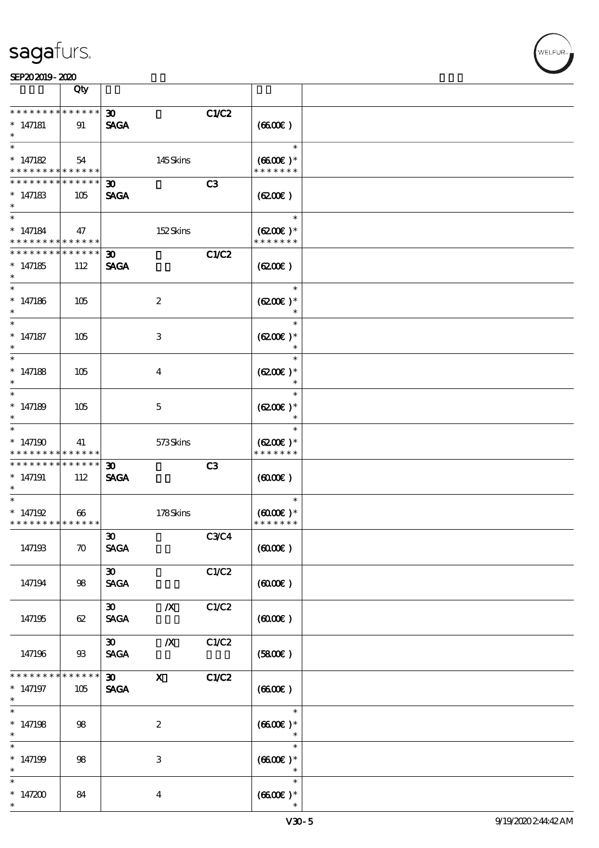|                                                                    | Qty                    |                                            |                  |             |                                                 |  |
|--------------------------------------------------------------------|------------------------|--------------------------------------------|------------------|-------------|-------------------------------------------------|--|
| * * * * * * * * * * * * * *<br>$* 147181$                          | 91                     | 30 <sub>o</sub><br><b>SAGA</b>             |                  | C1/C2       | (6600)                                          |  |
| $\overline{\ast}$<br>$* 147182$<br>* * * * * * * *                 | 54<br>$* * * * * * *$  |                                            | 145Skins         |             | $\ast$<br>$(6600)$ *<br>* * * * * * *           |  |
| * * * * * * * *<br>$*147183$<br>$\ast$                             | ******<br>105          | $\boldsymbol{\mathfrak{D}}$<br><b>SAGA</b> |                  | C3          | (620)                                           |  |
| $\ast$<br>$* 147184$<br>* * * * * * * * <mark>* * * * * *</mark>   | 47                     |                                            | 152Skins         |             | $\ast$<br>$(6200)$ *<br>* * * * * * *           |  |
| * * * * * * * *<br>$*147185$<br>$\ast$                             | $* * * * * * *$<br>112 | $\boldsymbol{\mathfrak{D}}$<br><b>SAGA</b> |                  | C1/C2       | (6200)                                          |  |
| $\ast$<br>$*147186$<br>$\ast$                                      | 105                    |                                            | $\boldsymbol{2}$ |             | $\ast$<br>$(6200)$ *<br>$\ast$                  |  |
| $\ast$<br>$* 147187$<br>$^{\ast}$                                  | 105                    |                                            | 3                |             | $\ast$<br>$(6200)$ *<br>$\ast$                  |  |
| $\ast$<br>$*147188$<br>$\ast$                                      | 105                    |                                            | $\bf{4}$         |             | $\ast$<br>$(6200)$ *<br>$\ast$                  |  |
| $\overline{\ast}$<br>$* 147189$<br>$\ast$                          | 105                    |                                            | 5                |             | $\ast$<br>$(6200)$ *<br>$\ast$                  |  |
| $\ast$<br>$*147190$<br>* * * * * * * *                             | 41<br>* * * * * *      |                                            | 573Skins         |             | $\ast$<br>$(6200)$ *<br>* * * * * * *           |  |
| * * * * * * * *<br>$*147191$<br>$\ast$                             | ******<br>112          | $\boldsymbol{\mathfrak{D}}$<br><b>SAGA</b> |                  | C3          | (600)                                           |  |
| $\ast$<br>* $147192$<br>* * * * * * * * <mark>* * * * * * *</mark> | $\boldsymbol{\omega}$  |                                            | 178Skins         |             | $\ast$<br>$(6000\varepsilon)*$<br>* * * * * * * |  |
| 147193                                                             | $\boldsymbol{\pi}$     | $\boldsymbol{\mathfrak{D}}$<br><b>SAGA</b> |                  | <b>C3C4</b> | (6000)                                          |  |
| 147194                                                             | 98                     | $\boldsymbol{\mathfrak{D}}$<br><b>SAGA</b> |                  | C1/C2       | (6000)                                          |  |
| 147195                                                             | 62                     | $\infty$<br><b>SAGA</b>                    | $\boldsymbol{X}$ | C1/C2       | (600)                                           |  |
| 147196                                                             | 93                     | $\boldsymbol{\mathfrak{D}}$<br><b>SAGA</b> | $\boldsymbol{X}$ | C1/C2       | (5800)                                          |  |
| * * * * * * * *<br>$*$ 147197<br>$*$                               | * * * * * *<br>105     | $\boldsymbol{\mathfrak{D}}$<br><b>SAGA</b> | $\mathbf{x}$     | C1/C2       | (6600)                                          |  |
| $\overline{\phantom{0}}$<br>$* 147198$<br>$\ast$                   | 98                     |                                            | $\boldsymbol{2}$ |             | $\ast$<br>$(6600)$ *<br>$\ast$                  |  |
| $\overline{\ast}$<br>$*147199$<br>$\ast$                           | 98                     |                                            | 3                |             | $\ast$<br>$(6600E)*$<br>$\ast$                  |  |
| $\ast$<br>* $147200$<br>$\ast$                                     | 84                     |                                            | $\boldsymbol{4}$ |             | $\ast$<br>$(6600)$ *                            |  |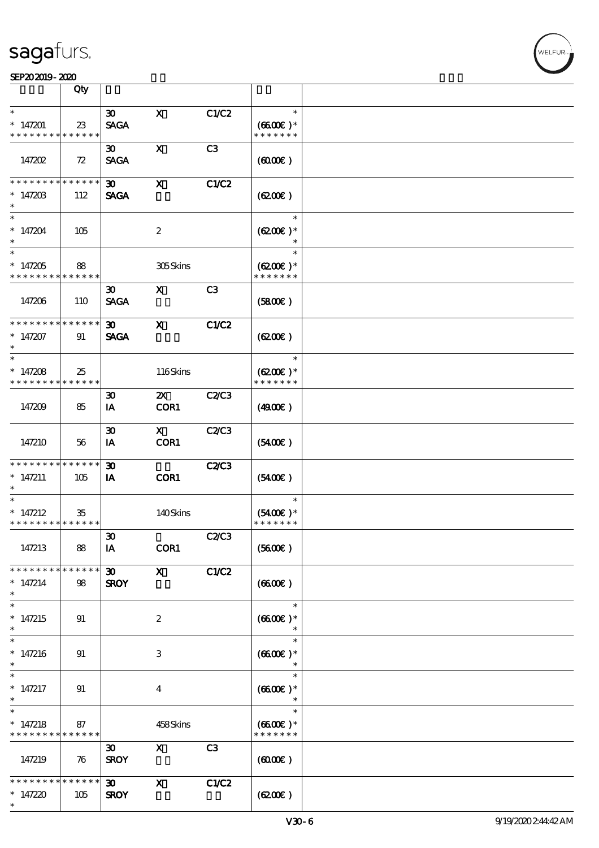#### SEP202019-2020

|                                                                    | Qty                    |                                            |                           |                |                                       |  |
|--------------------------------------------------------------------|------------------------|--------------------------------------------|---------------------------|----------------|---------------------------------------|--|
| $\ast$                                                             |                        |                                            |                           |                | $\ast$                                |  |
| $*147201$<br>* * * * * * * * * * * * * *                           | 23                     | $\boldsymbol{\mathfrak{D}}$<br><b>SAGA</b> | $\mathbf{x}$              | C1/C2          | $(6600E)*$<br>* * * * * * *           |  |
| 147202                                                             | 72                     | 30 <sup>2</sup><br><b>SAGA</b>             | $\mathbf{x}$              | C <sub>3</sub> | (6000)                                |  |
| * * * * * * * * <mark>* * * * * * *</mark><br>$* 14720B$<br>$\ast$ | 112                    | 30 <sub>o</sub><br><b>SAGA</b>             | $\boldsymbol{\mathsf{X}}$ | C1/C2          | (620)                                 |  |
| $\ast$<br>$* 147204$<br>$\ast$                                     | 105                    |                                            | $\boldsymbol{2}$          |                | $\ast$<br>$(6200)$ *                  |  |
| $\overline{\ast}$<br>$* 147205$<br>* * * * * * * * * * * * * *     | 88                     |                                            | 305Skins                  |                | $\ast$<br>$(6200)$ *<br>* * * * * * * |  |
| 147206                                                             | 110                    | $\boldsymbol{\mathfrak{D}}$<br><b>SAGA</b> | $\mathbf{x}$              | C3             | (5800)                                |  |
| * * * * * * * * * * * * * *<br>$* 147207$<br>$\ast$                | 91                     | 30 <sup>1</sup><br><b>SAGA</b>             | $\mathbf{x}$              | C1/C2          | (6200)                                |  |
| $\ast$<br>$* 147208$<br>* * * * * * * * * * * * * * *              | 25                     |                                            | 116Skins                  |                | $\ast$<br>$(6200)$ *<br>* * * * * * * |  |
| 147209                                                             | 85                     | $\boldsymbol{\mathfrak{D}}$<br>IA          | $\mathbf{X}$<br>COR1      | <b>C2/C3</b>   | (4900)                                |  |
| 147210                                                             | 56                     | $\boldsymbol{\mathfrak{D}}$<br>IA          | $\mathbf{X}$<br>COR1      | C2/C3          | (5400)                                |  |
| * * * * * * * * * * * * * *<br>$* 147211$<br>$\ast$                | 105                    | $\boldsymbol{\mathfrak{D}}$<br>IA          | COR1                      | <b>C2/C3</b>   | $(5400\varepsilon)$                   |  |
| $\ast$<br>$* 147212$<br>* * * * * * * * * * * * * *                | 35                     |                                            | 140Skins                  |                | $\ast$<br>$(5400)$ *<br>* * * * * * * |  |
| 147213                                                             | 88                     | $\boldsymbol{\mathfrak{D}}$<br>IA          | COR1                      | <b>C2/C3</b>   | (5600)                                |  |
| * * * * * * * *<br>$* 147214$<br>$\ast$                            | * * * * * *<br>98      | 30 <sub>o</sub><br><b>SROY</b>             | $\mathbf{x}$              | C1/C2          | (660)                                 |  |
| $\ast$<br>$* 147215$<br>$\ast$                                     | 91                     |                                            | $\boldsymbol{2}$          |                | $\ast$<br>$(6600)$ *                  |  |
| $\ast$<br>$* 147216$<br>$\ast$                                     | 91                     |                                            | 3                         |                | $\ast$<br>$(6600E)*$                  |  |
| $\ast$<br>$* 147217$<br>$\ast$                                     | 91                     |                                            | $\boldsymbol{4}$          |                | $\ast$<br>$(6600E)*$<br>$\ast$        |  |
| $\overline{\ast}$<br>$* 147218$<br>* * * * * * * * * * * * * *     | 87                     |                                            | 458Skins                  |                | $\ast$<br>$(6600)$ *<br>* * * * * * * |  |
| 147219                                                             | 76                     | $\boldsymbol{\mathfrak{D}}$<br><b>SROY</b> | $\boldsymbol{\mathsf{X}}$ | C3             | (6000)                                |  |
| * * * * * * * *<br>$*147220$<br>$\ast$                             | $* * * * * * *$<br>105 | 30 <sub>o</sub><br><b>SROY</b>             | $\mathbf{x}$              | C1/C2          | (620)                                 |  |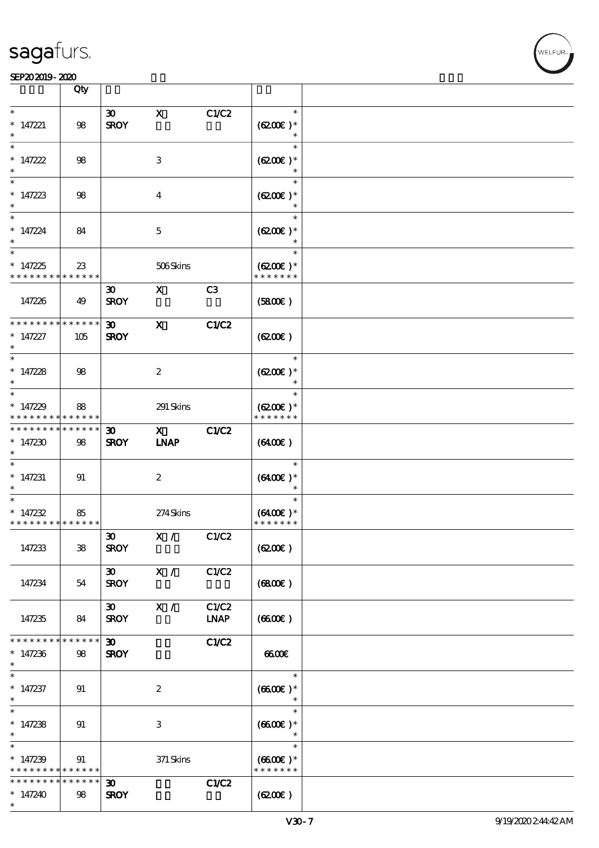#### SEP202019-2020 BEER AND EXAMPLE TO A LIMITED A LIMITED AND THE SEPEDENT CONTROL CONTROL CONTROL CONTROL CONTROL CONTROL CONTROL CONTROL CONTROL CONTROL CONTROL CONTROL CONTROL CONTROL CONTROL CONTROL CONTROL CONTROL CONTRO

|                                                               | Qty                |                                            |                             |                      |                                          |  |
|---------------------------------------------------------------|--------------------|--------------------------------------------|-----------------------------|----------------------|------------------------------------------|--|
| $\ast$<br>$*$ 147221<br>$\ast$                                | 98                 | $\boldsymbol{\mathfrak{D}}$<br><b>SROY</b> | $\mathbf X$                 | C1/C2                | $\ast$<br>$(6200)$ *<br>$\ast$           |  |
| $\ast$<br>$* 147222$<br>$\ast$                                | 98                 |                                            | 3                           |                      | $\ast$<br>$(6200)$ *<br>$\ast$           |  |
| $\ast$<br>$* 147223$<br>$\ast$                                | 98                 |                                            | $\bf{4}$                    |                      | $\ast$<br>$(6200)$ *                     |  |
| $\ast$<br>$* 147224$<br>$\ast$                                | 84                 |                                            | $\mathbf{5}$                |                      | $\ast$<br>$(6200)$ *                     |  |
| $\overline{\ast}$<br>$*147225$<br>* * * * * * * * * * * * * * | 23                 |                                            | 506Skins                    |                      | $\ast$<br>$(6200)$ *<br>* * * * * * *    |  |
| 147226                                                        | 49                 | $\boldsymbol{\mathfrak{D}}$<br><b>SROY</b> | $\mathbf{x}$                | C <sub>3</sub>       | (5800)                                   |  |
| * * * * * * * *<br>$* 147227$<br>$\ast$                       | * * * * * *<br>105 | 30 <sub>o</sub><br><b>SROY</b>             | $\mathbf{x}$                | <b>C1/C2</b>         | (6200)                                   |  |
| $\ast$<br>$* 147228$<br>$\ast$                                | 98                 |                                            | $\boldsymbol{z}$            |                      | $\ast$<br>$(6200)$ *<br>$\ast$           |  |
| $\ast$<br>$*147229$<br>* * * * * * * *                        | 88<br>* * * * * *  |                                            | $291\,$ Skins               |                      | $\ast$<br>$(6200)$ *<br>* * * * * * *    |  |
| * * * * * * * *<br>$*147230$<br>$\ast$                        | * * * * * *<br>98  | $\boldsymbol{\mathfrak{D}}$<br><b>SROY</b> | $\mathbf{x}$<br><b>INAP</b> | <b>C1/C2</b>         | (6400)                                   |  |
| $\overline{\phantom{0}}$<br>$*$ 147231<br>$\ast$              | 91                 |                                            | $\boldsymbol{z}$            |                      | $\ast$<br>$(6400)$ *<br>$\ast$           |  |
| $\ast$<br>$* 147232$<br>* * * * * * * * * * * * * *           | 85                 |                                            | 274Skins                    |                      | $\ast$<br>$(6400)$ *<br>* * * * * * *    |  |
| 147233                                                        | 38                 | $\boldsymbol{\mathfrak{D}}$<br><b>SROY</b> | X / C1/C2                   |                      | (6200)                                   |  |
| 147234                                                        | 54                 | $\boldsymbol{\mathfrak{D}}$<br><b>SROY</b> | X /                         | C1/C2                | (6800)                                   |  |
| 147235                                                        | 84                 | $\infty$<br><b>SROY</b>                    | X /                         | C1/C2<br><b>LNAP</b> | (6600)                                   |  |
| * * * * * * *<br>$*147236$<br>$\ast$<br>$\ast$                | * * * * * *<br>98  | $\boldsymbol{\mathfrak{D}}$<br><b>SROY</b> |                             | <b>C1/C2</b>         | 6600                                     |  |
| $* 147237$<br>$\ast$<br>$\overline{\ast}$                     | 91                 |                                            | $\boldsymbol{2}$            |                      | $\ast$<br>$(6600E)*$<br>$\ast$           |  |
| $*147238$<br>$\ast$<br>$\ast$                                 | 91                 |                                            | $\,3$                       |                      | $\ast$<br>$(6600)$ *<br>$\ast$<br>$\ast$ |  |
| $*147239$<br>* * * * * * * * <mark>* * * * * * *</mark>       | 91                 |                                            | $371$ Skins                 |                      | $(6600\text{E})*$<br>* * * * * * *       |  |
| * * * * * * *<br>$*147240$<br>$\ast$                          | * * * * * *<br>98  | $\boldsymbol{\mathfrak{D}}$<br><b>SROY</b> |                             | C1/C2                | (6200)                                   |  |

 $\top$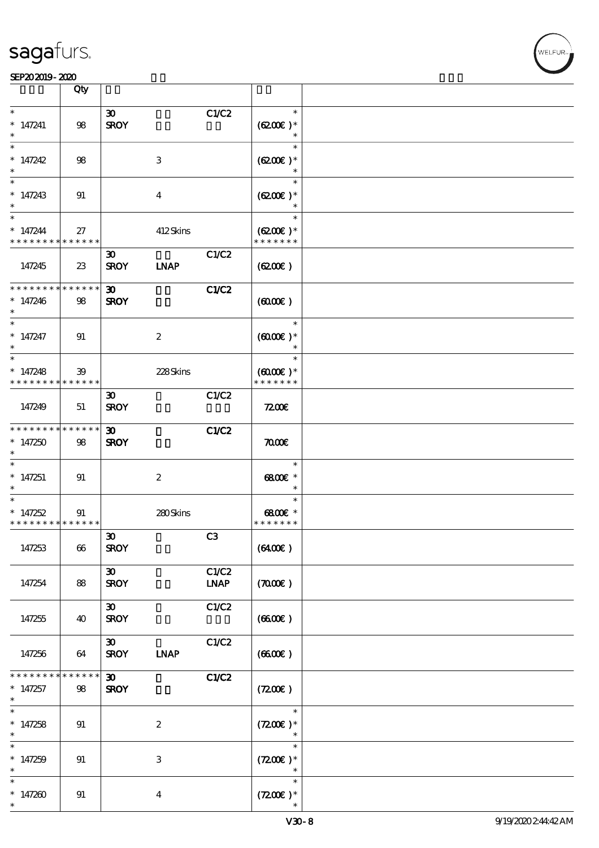|                                                       | Qty                   |                                            |                  |                      |                                                 |  |
|-------------------------------------------------------|-----------------------|--------------------------------------------|------------------|----------------------|-------------------------------------------------|--|
| $\ast$<br>$* 147241$<br>$\ast$                        | 98                    | $\boldsymbol{\mathfrak{D}}$<br><b>SROY</b> |                  | C1/C2                | $\ast$<br>$(6200)$ *<br>$\ast$                  |  |
| $\ast$<br>$* 147242$<br>$\ast$                        | 98                    |                                            | 3                |                      | $\ast$<br>$(6200)$ *<br>$\ast$                  |  |
| $\ast$<br>$* 147243$<br>$\ast$                        | 91                    |                                            | $\bf{4}$         |                      | $\ast$<br>$(6200)$ *                            |  |
| $\ast$<br>$* 147244$<br>* * * * * * * * * * * * * *   | 27                    |                                            | 412Skins         |                      | $\ast$<br>$(6200)$ *<br>* * * * * * *           |  |
| 147245                                                | 23                    | $\boldsymbol{\mathfrak{D}}$<br><b>SROY</b> | <b>LNAP</b>      | C1/C2                | (6200)                                          |  |
| * * * * * * * * * * * * * *<br>$* 147246$<br>$\ast$   | 98                    | $\boldsymbol{\mathfrak{D}}$<br><b>SROY</b> |                  | C1/C2                | (6000)                                          |  |
| $\ast$<br>$* 147247$<br>$\ast$                        | 91                    |                                            | $\boldsymbol{2}$ |                      | $\ast$<br>$(6000\varepsilon)*$<br>$\ast$        |  |
| $\ast$<br>$* 147248$<br>* * * * * * * * * * * * * * * | 39                    |                                            | 228Skins         |                      | $\ast$<br>$(6000\varepsilon)*$<br>* * * * * * * |  |
| 147249                                                | 51                    | $\boldsymbol{\mathfrak{D}}$<br><b>SROY</b> |                  | C1/C2                | 7200E                                           |  |
| * * * * * * * *<br>$*147250$<br>$\ast$                | $* * * * * * *$<br>98 | $\boldsymbol{\mathfrak{D}}$<br><b>SROY</b> |                  | <b>C1/C2</b>         | $\pi$                                           |  |
| $\overline{\phantom{0}}$<br>$*147251$<br>$\ast$       | 91                    |                                            | $\boldsymbol{2}$ |                      | $\ast$<br>6800€ *<br>$\ast$                     |  |
| $\ast$<br>$* 147252$<br>* * * * * * * * * * * * * * * | 91                    |                                            | 280Skins         |                      | $\ast$<br>6800€ *<br>* * * * * * *              |  |
| 147253                                                | 66                    | $\boldsymbol{\mathfrak{D}}$<br><b>SROY</b> |                  | C3                   | (6400)                                          |  |
| 147254                                                | 88                    | $\boldsymbol{\mathfrak{D}}$<br><b>SROY</b> |                  | C1/C2<br><b>LNAP</b> | (700)                                           |  |
| 147255                                                | 40                    | $\boldsymbol{\mathfrak{D}}$<br><b>SROY</b> |                  | C1/C2                | (6600)                                          |  |
| 147256                                                | 64                    | 30 <sub>o</sub><br><b>SROY</b>             | <b>INAP</b>      | C1/C2                | (660)                                           |  |
| * * * * * *<br>$* 147257$<br>$\ast$                   | * * * * * *<br>98     | 30 <sub>o</sub><br><b>SROY</b>             |                  | C1/C2                | (7200)                                          |  |
| $\overline{\ast}$<br>$* 147258$<br>$\ast$             | 91                    |                                            | $\boldsymbol{2}$ |                      | $\ast$<br>$(7200)$ *<br>$\ast$                  |  |
| $\ast$<br>$* 147259$<br>$\ast$                        | 91                    |                                            | $\,3$            |                      | $\ast$<br>$(7200)$ *<br>$\ast$                  |  |
| $\ast$<br>$*147260$<br>$\ast$                         | 91                    |                                            | $\boldsymbol{4}$ |                      | $\ast$<br>$(7200)$ *                            |  |

T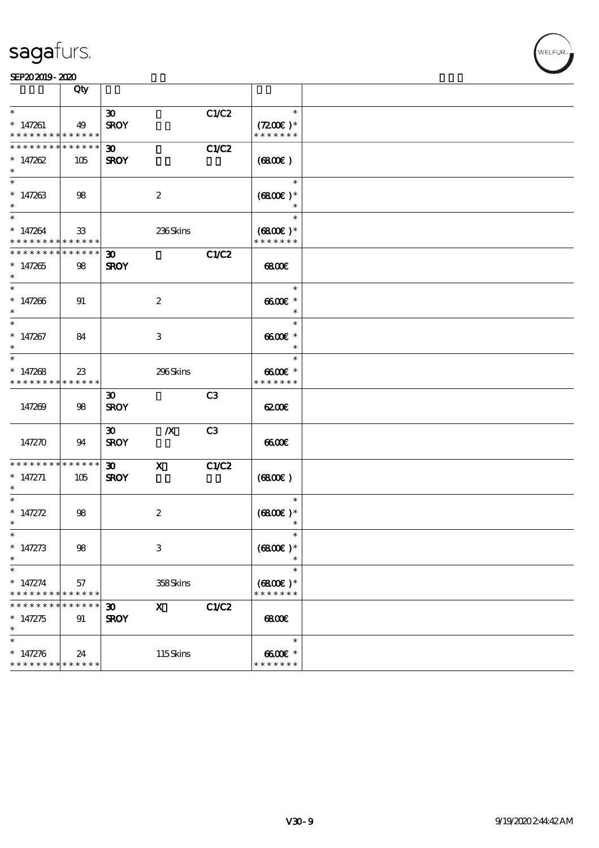

|                                                      | Qty               |                                            |                  |       |                                                 |  |
|------------------------------------------------------|-------------------|--------------------------------------------|------------------|-------|-------------------------------------------------|--|
| $\ast$<br>$*147261$<br>* * * * * * * * * * * * * *   | 49                | $\boldsymbol{\mathfrak{D}}$<br><b>SROY</b> |                  | C1/C2 | $\ast$<br>$(7200)$ *<br>* * * * * * *           |  |
| * * * * * * * * * * * * * *<br>$* 147262$<br>$\ast$  | 105               | $30-1$<br><b>SROY</b>                      |                  | C1/C2 | (6800)                                          |  |
| $\ast$<br>$*147263$<br>$\ast$                        | 98                |                                            | $\boldsymbol{2}$ |       | $\ast$<br>$(6800)$ *                            |  |
| $\ast$<br>$* 147264$<br>* * * * * * * * * * * * * *  | $\mathbf{3}$      |                                            | 236Skins         |       | $\ast$<br>$(6800)$ *<br>* * * * * * *           |  |
| * * * * * * * * * * * * * *<br>$* 147265$<br>$\ast$  | 98                | $30-1$<br><b>SROY</b>                      |                  | C1/C2 | 6800                                            |  |
| $\ast$<br>$* 147266$<br>$\ast$                       | 91                |                                            | $\boldsymbol{2}$ |       | $\ast$<br>$6600E$ *<br>$\overline{\phantom{a}}$ |  |
| $\ast$<br>$* 147267$<br>$\ast$                       | 84                |                                            | 3                |       | $\ast$<br>$6600E$ *<br>$\ast$                   |  |
| $\ast$<br>$*147268$<br>* * * * * * * * * * * * * * * | $23\,$            |                                            | 296Skins         |       | $\ast$<br>$6600E$ *<br>* * * * * * *            |  |
| 147269                                               | 98                | $\boldsymbol{\mathfrak{D}}$<br><b>SROY</b> |                  | C3    | 6200E                                           |  |
| 147270                                               | 94                | $\boldsymbol{\mathfrak{D}}$<br><b>SROY</b> | $\boldsymbol{X}$ | C3    | 6600                                            |  |
| * * * * * * * * * * * * * *<br>$* 147271$<br>$\ast$  | 105               | $\boldsymbol{\mathfrak{D}}$<br><b>SROY</b> | $\mathbf{X}$     | C1/C2 | (6800)                                          |  |
| $\ast$<br>$* 147272$<br>$\ast$                       | 98                |                                            | $\boldsymbol{2}$ |       | $\ast$<br>$(6800)$ *<br>$\ast$                  |  |
| $*$<br>$* 147273$<br>$\ast$                          | 98                |                                            | $\,3$            |       | $\ast$<br>$(6800)$ *                            |  |
| $\ast$<br>$* 147274$<br>* * * * * * * *              | 57<br>* * * * * * |                                            | 358Skins         |       | $\ast$<br>$(6800)$ *<br>* * * * * * *           |  |
| $* 147275$<br>$\ast$                                 | * * * * * *<br>91 | 30 <sub>o</sub><br><b>SROY</b>             | $\mathbf{x}$     | C1/C2 | 68000                                           |  |
| $\ast$<br>$* 147276$<br>* * * * * * * * * * * * * *  | 24                |                                            | 115Skins         |       | $\ast$<br>$6600E$ *<br>* * * * * * *            |  |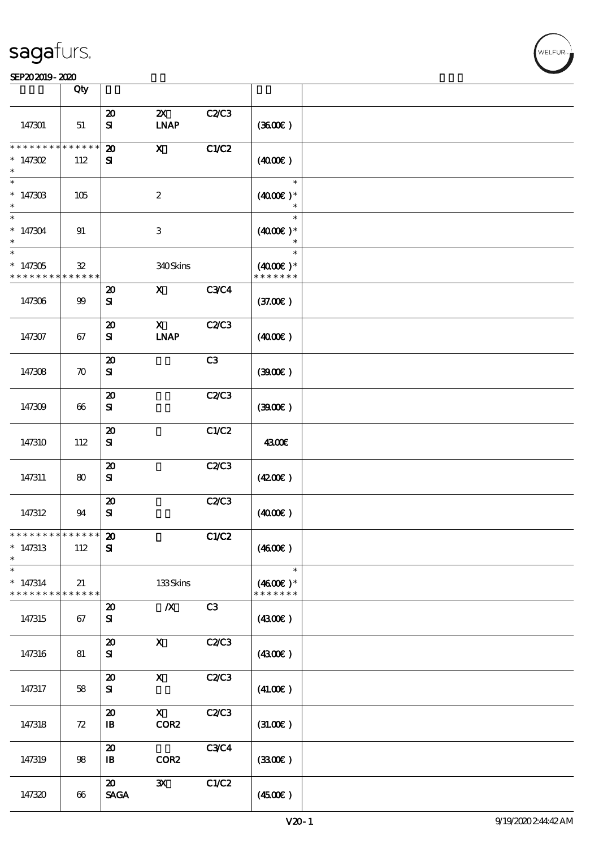|                    | Qty                     |                             |                              |             |                     |  |
|--------------------|-------------------------|-----------------------------|------------------------------|-------------|---------------------|--|
|                    |                         |                             |                              |             |                     |  |
|                    |                         | $\boldsymbol{\mathsf{20}}$  | $\boldsymbol{\mathsf{Z}}$    | C2C3        |                     |  |
| 147301             | 51                      | ${\bf s}$                   | <b>INAP</b>                  |             | (360)               |  |
|                    |                         |                             |                              |             |                     |  |
| * * * * * * * *    | $* * * * * *$<br>$\ast$ |                             |                              |             |                     |  |
|                    |                         | $\boldsymbol{\mathfrak{D}}$ | $\mathbf{x}$                 | CLC2        |                     |  |
| * $147302$         | 112                     | ${\bf s}$                   |                              |             | (400E)              |  |
|                    |                         |                             |                              |             |                     |  |
| $\ast$             |                         |                             |                              |             | $\ast$              |  |
|                    |                         |                             |                              |             |                     |  |
| $*14730B$          | 105                     |                             | $\boldsymbol{2}$             |             | $(4000)$ *          |  |
|                    |                         |                             |                              |             | $\ast$              |  |
| $\ast$             |                         |                             |                              |             | $\ast$              |  |
| $*147304$          | 91                      |                             | $\ensuremath{\mathbf{3}}$    |             | $(4000)$ *          |  |
|                    |                         |                             |                              |             |                     |  |
|                    |                         |                             |                              |             | $\ast$              |  |
| $\ast$             |                         |                             |                              |             | $\ast$              |  |
| $*147305$          | $\mathbf{32}$           |                             | 340Skins                     |             | $(4000)$ *          |  |
| * * * * * * * *    | ******                  |                             |                              |             | * * * * * * *       |  |
|                    |                         |                             |                              |             |                     |  |
|                    |                         | $\boldsymbol{\mathbf{z}}$   | $\boldsymbol{\mathrm{X}}$    | <b>C3C4</b> |                     |  |
| 147306             | $99$                    | ${\bf s}$                   |                              |             | (37.00)             |  |
|                    |                         |                             |                              |             |                     |  |
|                    |                         | $\boldsymbol{\mathfrak{D}}$ | $\mathbf X$                  | C2C3        |                     |  |
|                    |                         |                             |                              |             |                     |  |
| 147307             | 67                      | ${\bf s}$                   | $\ensuremath{\mathbf{INAP}}$ |             | (400E)              |  |
|                    |                         |                             |                              |             |                     |  |
|                    |                         | $\boldsymbol{\mathfrak{D}}$ |                              | C3          |                     |  |
| 147308             | $\boldsymbol{\pi}$      | ${\bf s}$                   |                              |             | (300E)              |  |
|                    |                         |                             |                              |             |                     |  |
|                    |                         |                             |                              |             |                     |  |
|                    |                         | $\boldsymbol{\mathbf{z}}$   |                              | C2C3        |                     |  |
| 147309             | 66                      | ${\bf s}$                   |                              |             | (300)               |  |
|                    |                         |                             |                              |             |                     |  |
|                    |                         | $\boldsymbol{\mathsf{20}}$  |                              | C1/C2       |                     |  |
|                    |                         |                             |                              |             |                     |  |
| 147310             | 112                     | ${\bf s}$                   |                              |             | 4300€               |  |
|                    |                         |                             |                              |             |                     |  |
|                    |                         | $\boldsymbol{\mathfrak{D}}$ |                              | C2C3        |                     |  |
| 147311             | 80                      | ${\bf s}$                   |                              |             | (420)               |  |
|                    |                         |                             |                              |             |                     |  |
|                    |                         |                             |                              |             |                     |  |
|                    |                         | $\boldsymbol{\mathbf{z}}$   |                              | C2C3        |                     |  |
| 147312             | 94                      | ${\bf s}$                   |                              |             | (400E)              |  |
|                    |                         |                             |                              |             |                     |  |
| *************** 20 |                         |                             |                              |             |                     |  |
|                    |                         |                             |                              | C1/C2       |                     |  |
| $*147313$          | 112                     | ${\bf s}$                   |                              |             | (4600E)             |  |
| $\ast$             |                         |                             |                              |             |                     |  |
| $\ast$             |                         |                             |                              |             | $\ast$              |  |
|                    |                         |                             |                              |             |                     |  |
| $* 147314$         | 21                      |                             | 133Skins                     |             | $(4600E)*$          |  |
| * * * * * * * *    | * * * * * *             |                             |                              |             | * * * * * * *       |  |
|                    |                         | $\boldsymbol{\mathsf{20}}$  | $\boldsymbol{X}$             | C3          |                     |  |
| 147315             | 67                      | ${\bf s}$                   |                              |             | (4300)              |  |
|                    |                         |                             |                              |             |                     |  |
|                    |                         |                             |                              |             |                     |  |
|                    |                         | $\boldsymbol{\mathfrak{D}}$ | $\boldsymbol{\mathrm{X}}$    | C2C3        |                     |  |
| 147316             | 81                      | ${\bf s}$                   |                              |             | (4300)              |  |
|                    |                         |                             |                              |             |                     |  |
|                    |                         | $\boldsymbol{\mathfrak{D}}$ | $\mathbf X$                  | C2C3        |                     |  |
|                    |                         |                             |                              |             |                     |  |
| 147317             | 58                      | ${\bf s}$                   |                              |             | (41.00)             |  |
|                    |                         |                             |                              |             |                     |  |
|                    |                         | $\boldsymbol{\mathsf{20}}$  | $\mathbf{x}$                 | C2C3        |                     |  |
| 147318             | 72                      | $\mathbf{B}$                | COR2                         |             | (31.00)             |  |
|                    |                         |                             |                              |             |                     |  |
|                    |                         |                             |                              |             |                     |  |
|                    |                         | $\boldsymbol{\mathfrak{D}}$ |                              | <b>C3C4</b> |                     |  |
| 147319             | $98$                    | $\mathbf{B}$                | COR <sub>2</sub>             |             | (330)               |  |
|                    |                         |                             |                              |             |                     |  |
|                    |                         | $\boldsymbol{\mathfrak{D}}$ | $\mathbf{x}$                 | C1/C2       |                     |  |
| 147320             |                         | <b>SAGA</b>                 |                              |             |                     |  |
|                    | 66                      |                             |                              |             | $(4500\varepsilon)$ |  |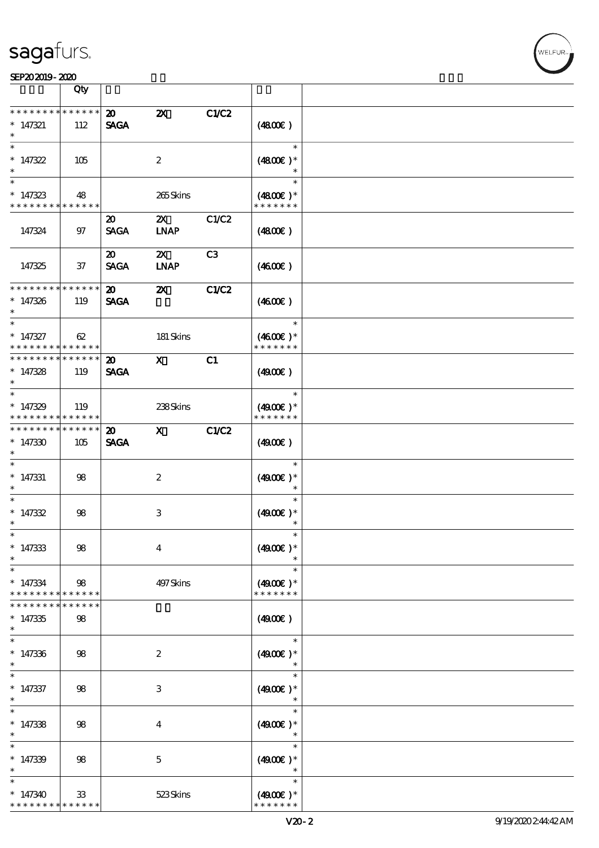|                                             | Qty               |                             |                           |                |                                       |  |
|---------------------------------------------|-------------------|-----------------------------|---------------------------|----------------|---------------------------------------|--|
| * * * * * * * *                             | $******$          | $\boldsymbol{\mathsf{20}}$  | $\boldsymbol{\mathsf{z}}$ | <b>C1/C2</b>   |                                       |  |
| $* 147321$<br>$\ast$                        | 112               | <b>SAGA</b>                 |                           |                | (4800)                                |  |
| $\ast$                                      |                   |                             |                           |                | $\ast$                                |  |
| $*147322$<br>$\ast$                         | 105               |                             | $\boldsymbol{2}$          |                | $(4800)$ *<br>$\ast$                  |  |
| $*$                                         |                   |                             |                           |                | $\ast$                                |  |
| $*147323$<br>* * * * * * * * * * * * * *    | 48                |                             | 265Skins                  |                | $(4800)$ *<br>* * * * * * *           |  |
|                                             |                   | 20                          | $\boldsymbol{\mathsf{Z}}$ | C1/C2          |                                       |  |
| 147324                                      | 97                | <b>SAGA</b>                 | <b>INAP</b>               |                | (4800)                                |  |
|                                             |                   | $\boldsymbol{\mathfrak{D}}$ | $\boldsymbol{\mathsf{Z}}$ | C <sub>3</sub> |                                       |  |
| 147325                                      | 37                | <b>SAGA</b>                 | <b>LNAP</b>               |                | (460E)                                |  |
| * * * * * * * *                             | $* * * * * * *$   | $\boldsymbol{\mathfrak{D}}$ | $\boldsymbol{\mathsf{X}}$ | C1/C2          |                                       |  |
| $*147326$<br>$\ast$                         | 119               | <b>SAGA</b>                 |                           |                | (460E)                                |  |
| $\ast$                                      |                   |                             |                           |                | $\ast$                                |  |
| $* 147327$<br>* * * * * * * * * * * * * * * | 62                |                             | 181 Skins                 |                | $(4600)$ *<br>* * * * * * *           |  |
| * * * * * * * * * * * * * * *               |                   | $\boldsymbol{\mathfrak{D}}$ | $\mathbf{X}$              | C1             |                                       |  |
| $* 147328$<br>$\ast$                        | 119               | <b>SAGA</b>                 |                           |                | (4900)                                |  |
| $*$                                         |                   |                             |                           |                | $\ast$                                |  |
| $*147329$<br>* * * * * * * * * * * * * *    | 119               |                             | 238Skins                  |                | $(4900)$ *<br>* * * * * * *           |  |
| * * * * * * * *                             | $* * * * * * *$   | $\boldsymbol{\mathfrak{D}}$ | $\mathbf{x}$              | <b>C1/C2</b>   |                                       |  |
| $*147330$<br>$\ast$                         | 105               | <b>SAGA</b>                 |                           |                | (4900)                                |  |
| $\ast$                                      |                   |                             |                           |                | $\ast$                                |  |
| $* 147331$<br>$\ast$                        | 98                |                             | $\boldsymbol{2}$          |                | $(4900E)*$<br>$\ast$                  |  |
| $\ast$                                      |                   |                             |                           |                | $\ast$                                |  |
| $* 147332$                                  | $98$              |                             | $\ensuremath{\mathsf{3}}$ |                | $(4900)$ *                            |  |
| $\ast$                                      |                   |                             |                           |                | $\ast$                                |  |
| $*$                                         |                   |                             |                           |                | $\ast$                                |  |
| $*147333$<br>$\ast$                         | $98$              |                             | $\boldsymbol{4}$          |                | $(4900)$ *                            |  |
| $\ast$                                      |                   |                             |                           |                | $\ast$                                |  |
| $*147334$<br>* * * * * * * *                | 98<br>* * * * * * |                             | 497 Skins                 |                | $(4900)$ *<br>* * * * * * *           |  |
| * * * * * * *                               | * * * * *         |                             |                           |                |                                       |  |
| $*147335$<br>$\ast$                         | $98$              |                             |                           |                | (4900)                                |  |
| $\ast$                                      |                   |                             |                           |                | $\ast$                                |  |
| $* 147336$<br>$\ast$                        | 98                |                             | $\boldsymbol{z}$          |                | $(4900)$ *                            |  |
| $\ast$                                      |                   |                             |                           |                | $\ast$                                |  |
| $* 147337$<br>$\ast$                        | 98                |                             | $\ensuremath{\mathsf{3}}$ |                | $(4900)$ *<br>$\ast$                  |  |
| $\ast$                                      |                   |                             |                           |                | $\ast$                                |  |
| $*147338$<br>$\ast$                         | 98                |                             | $\bf{4}$                  |                | $(4900)$ *<br>$\ast$                  |  |
| $\ast$                                      |                   |                             |                           |                | $\ast$                                |  |
| $*147339$<br>$\ast$                         | 98                |                             | $\mathbf 5$               |                | $(4900)$ *<br>$\ast$                  |  |
| $\ast$                                      |                   |                             |                           |                | $\ast$                                |  |
| $*147340$<br>* * * * * * * *                | 33<br>* * * * * * |                             | 523Skins                  |                | $(4900\varepsilon)*$<br>* * * * * * * |  |

 $\top$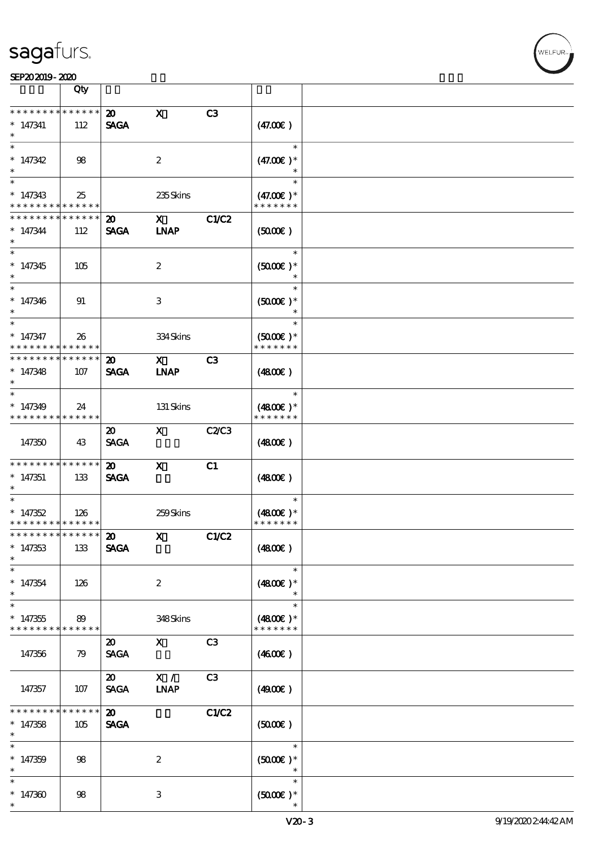|                                                                                  | Qty                    |                                            |                                                                                                                                                                                                                                                                                                                                                |                |                                          |  |
|----------------------------------------------------------------------------------|------------------------|--------------------------------------------|------------------------------------------------------------------------------------------------------------------------------------------------------------------------------------------------------------------------------------------------------------------------------------------------------------------------------------------------|----------------|------------------------------------------|--|
| * * * * * * * *<br>$* 147341$                                                    | * * * * * * *<br>112   | $\boldsymbol{\mathfrak{D}}$<br><b>SAGA</b> | $\mathbf x$                                                                                                                                                                                                                                                                                                                                    | C3             | (47.00)                                  |  |
| $*147342$                                                                        | 98                     |                                            | 2                                                                                                                                                                                                                                                                                                                                              |                | $\ast$<br>$(47.00)$ *                    |  |
| $* 147343$<br>* * * * * * * * <mark>* * * * * * *</mark>                         | 25                     |                                            | 235Skins                                                                                                                                                                                                                                                                                                                                       |                | $\ast$<br>$(47.00)$ *<br>* * * * * * *   |  |
| * * * * * * * *<br>$* 147344$<br>$\ast$                                          | * * * * * *<br>112     | 20<br><b>SAGA</b>                          | $\mathbf x$ and $\mathbf x$ and $\mathbf x$ and $\mathbf x$ and $\mathbf x$ and $\mathbf x$ and $\mathbf x$ and $\mathbf x$ and $\mathbf x$ and $\mathbf x$ and $\mathbf x$ and $\mathbf x$ and $\mathbf x$ and $\mathbf x$ and $\mathbf x$ and $\mathbf x$ and $\mathbf x$ and $\mathbf x$ and $\mathbf x$ and $\mathbf x$ and<br><b>INAP</b> | C1/C2          | (5000)                                   |  |
| $*147345$<br>$\ast$                                                              | 105                    |                                            | $\boldsymbol{2}$                                                                                                                                                                                                                                                                                                                               |                | $\ast$<br>$(5000\varepsilon)*$<br>$\ast$ |  |
| $\ast$<br>$* 147346$<br>$\ast$                                                   | 91                     |                                            | 3                                                                                                                                                                                                                                                                                                                                              |                | $\ast$<br>$(5000\varepsilon)*$<br>$\ast$ |  |
| $\ast$<br>$*$ 147347<br>* * * * * * * * <mark>* * * * * *</mark>                 | 26                     |                                            | 334Skins                                                                                                                                                                                                                                                                                                                                       |                | $\ast$<br>$(5000)$ *<br>* * * * * * *    |  |
| * * * * * * * * * * * * * * *<br>$*147348$<br>$\ast$<br>$\overline{\phantom{0}}$ | 107                    | $\boldsymbol{\mathfrak{D}}$<br><b>SAGA</b> | $\mathbf X$ and $\mathbf X$ and $\mathbf X$ and $\mathbf X$ and $\mathbf X$ and $\mathbf X$ and $\mathbf X$ and $\mathbf X$ and $\mathbf X$ and $\mathbf X$ and $\mathbf X$ and $\mathbf X$ and $\mathbf X$ and $\mathbf X$ and $\mathbf X$ and $\mathbf X$ and $\mathbf X$ and $\mathbf X$ and $\mathbf X$ and $\mathbf X$ and<br><b>INAP</b> | C <sub>3</sub> | (480)                                    |  |
| $*147349$<br>* * * * * * * * <mark>* * * * * *</mark>                            | 24                     |                                            | 131 Skins                                                                                                                                                                                                                                                                                                                                      |                | $\ast$<br>$(4800)$ *<br>* * * * * * *    |  |
| 147350                                                                           | 43                     | $\boldsymbol{\mathfrak{D}}$<br><b>SAGA</b> | $\mathbf{x}$                                                                                                                                                                                                                                                                                                                                   | C2/C3          | (480)                                    |  |
| * * * * * * * *<br>$*147351$<br>$\ast$                                           | $* * * * * * *$<br>133 | $\boldsymbol{\mathfrak{D}}$<br><b>SAGA</b> | $\mathbf{x}$                                                                                                                                                                                                                                                                                                                                   | C1             | (480)                                    |  |
| $\ast$<br>$*147352$<br>* * * * * * * * <mark>* * * * * *</mark>                  | 126                    |                                            | 259Skins                                                                                                                                                                                                                                                                                                                                       |                | $\ast$<br>$(4800)$ *<br>* * * * * * *    |  |
| *************** 20<br>$*147353$<br>$\ast$                                        | 133                    | <b>SAGA</b>                                | $X$ $C1/C2$                                                                                                                                                                                                                                                                                                                                    |                | (4800)                                   |  |
| $\ast$<br>$*147354$<br>$\ast$<br>$\ast$                                          | 126                    |                                            | $\boldsymbol{2}$                                                                                                                                                                                                                                                                                                                               |                | $\ast$<br>$(4800)$ *<br>$\ast$           |  |
| $*147355$<br>* * * * * * * *                                                     | 89<br>* * * * * *      |                                            | 348Skins                                                                                                                                                                                                                                                                                                                                       |                | $\ast$<br>$(4800)$ *<br>* * * * * * *    |  |
| 147356                                                                           | 79                     | $\boldsymbol{\mathfrak{D}}$<br><b>SAGA</b> | $\mathbf{X}$                                                                                                                                                                                                                                                                                                                                   | C3             | $(4600\varepsilon)$                      |  |
| 147357                                                                           | 107                    | $\boldsymbol{\mathfrak{D}}$<br><b>SAGA</b> | X /<br>$\ensuremath{\mathbf{INAP}}$                                                                                                                                                                                                                                                                                                            | C3             | (4900)                                   |  |
| * * * * * * *<br>$*147358$<br>$\ast$<br>$\ast$                                   | *****<br>105           | $\boldsymbol{\mathfrak{D}}$<br><b>SAGA</b> |                                                                                                                                                                                                                                                                                                                                                | C1/C2          | $(5000\varepsilon)$<br>$\ast$            |  |
| $*147359$<br>$\ast$                                                              | 98                     |                                            | $\boldsymbol{2}$                                                                                                                                                                                                                                                                                                                               |                | $(5000\varepsilon)*$<br>$\ast$<br>$\ast$ |  |
| $*147300$<br>$\ast$                                                              | 98                     |                                            | 3                                                                                                                                                                                                                                                                                                                                              |                | $(5000\varepsilon)*$                     |  |

 $\overline{\mathsf{T}}$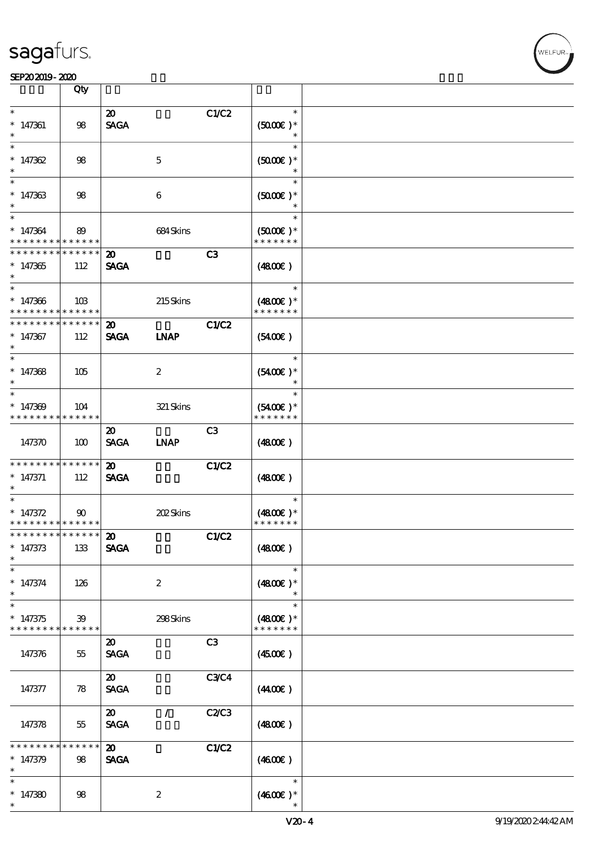|                                                        | Qty                |                                            |                  |                |                                       |  |
|--------------------------------------------------------|--------------------|--------------------------------------------|------------------|----------------|---------------------------------------|--|
| $\ast$                                                 |                    |                                            |                  |                | $\ast$                                |  |
| $* 147361$<br>$\ast$                                   | 98                 | $\boldsymbol{\mathfrak{D}}$<br><b>SAGA</b> |                  | C1/C2          | $(5000)$ *                            |  |
| $\ast$                                                 |                    |                                            |                  |                | $\ast$                                |  |
| $*147362$                                              | 98                 |                                            | $\mathbf{5}$     |                | $(5000)$ *<br>$\ast$                  |  |
| $\ast$                                                 |                    |                                            |                  |                | $\ast$                                |  |
| $*147363$                                              | 98                 |                                            | $\boldsymbol{6}$ |                | $(5000)$ *<br>$\ast$                  |  |
| $\ast$                                                 |                    |                                            |                  |                | $\ast$                                |  |
| $* 147364$<br>* * * * * * * * <mark>* * * * * *</mark> | 89                 |                                            | 684Skins         |                | $(5000\varepsilon)*$<br>* * * * * * * |  |
| * * * * * * * *                                        | $* * * * * * *$    | $\boldsymbol{\mathfrak{D}}$                |                  | C <sub>3</sub> |                                       |  |
| $*147365$                                              | 112                | <b>SAGA</b>                                |                  |                | (4800)                                |  |
| $\ast$                                                 |                    |                                            |                  |                | $\ast$                                |  |
| $*147366$<br>* * * * * * * *                           | 10B<br>* * * * * * |                                            | 215Skins         |                | $(4800)$ *<br>* * * * * * *           |  |
| * * * * * * * *                                        | * * * * * *        | $\boldsymbol{\mathfrak{D}}$                |                  | C1/C2          |                                       |  |
| $* 147367$<br>$\ast$                                   | 112                | <b>SAGA</b>                                | <b>INAP</b>      |                | (5400)                                |  |
| $\ast$                                                 |                    |                                            |                  |                | $\ast$                                |  |
| $*147368$<br>$\ast$                                    | 105                |                                            | $\boldsymbol{z}$ |                | $(5400)$ *                            |  |
| $\ast$                                                 |                    |                                            |                  |                | $\ast$                                |  |
| $*147309$<br>* * * * * * * *                           | 104<br>* * * * * * |                                            | $321\,$ Skins    |                | $(5400)$ *<br>* * * * * * *           |  |
|                                                        |                    | $\boldsymbol{\mathfrak{D}}$                |                  | C3             |                                       |  |
| 147370                                                 | 100                | <b>SAGA</b>                                | <b>LNAP</b>      |                | (4800)                                |  |
| ___<br>* * * * * * * * * * * * * * <mark>*</mark>      |                    | $\boldsymbol{\mathsf{20}}$                 |                  | C1/C2          |                                       |  |
| $* 147371$                                             | 112                | <b>SAGA</b>                                |                  |                | (4800)                                |  |
|                                                        |                    |                                            |                  |                |                                       |  |
| $\ast$                                                 |                    |                                            |                  |                | $\ast$                                |  |
| $* 147372$                                             | $90^{\circ}$       |                                            | 202Skins         |                | $(4800)$ *                            |  |
| * * * * * * * * <mark>* * * * * *</mark>               |                    |                                            |                  |                | * * * * * * *                         |  |
| * * * * * * * * <mark>* * * * * *</mark>               |                    | 20                                         |                  | C1/C2          |                                       |  |
| $* 147373$<br>$\ast$                                   | 133                | <b>SAGA</b>                                |                  |                | (4800)                                |  |
| $\ast$                                                 |                    |                                            |                  |                | $\ast$                                |  |
| $* 147374$<br>$\ast$                                   | 126                |                                            | $\boldsymbol{2}$ |                | $(4800)$ *                            |  |
| $\ast$                                                 |                    |                                            |                  |                | $\ast$                                |  |
| $*147375$                                              | 39                 |                                            | 298Skins         |                | $(4800)$ *                            |  |
| * * * * * * * *                                        | ******             |                                            |                  |                | * * * * * * *                         |  |
| 147376                                                 | 55                 | $\boldsymbol{\mathfrak{D}}$<br><b>SAGA</b> |                  | C3             | $(4500\varepsilon)$                   |  |
|                                                        |                    | $\boldsymbol{\mathfrak{D}}$                |                  | <b>C3C4</b>    |                                       |  |
| 147377                                                 | 78                 | <b>SAGA</b>                                |                  |                | (440E)                                |  |
|                                                        |                    | $\boldsymbol{\mathfrak{D}}$                | 7.               | C2/C3          |                                       |  |
| 147378                                                 | 55                 | <b>SAGA</b>                                |                  |                | (480E)                                |  |
| * * * * * *                                            | * * * * * *        | $\boldsymbol{\mathfrak{D}}$                |                  | C1/C2          |                                       |  |
| $* 147379$                                             | 98                 | <b>SAGA</b>                                |                  |                | (460E)                                |  |
| $\ast$                                                 |                    |                                            |                  |                |                                       |  |
| $\ast$                                                 |                    |                                            |                  |                | $\ast$                                |  |
| $*147380$<br>$\ast$                                    | 98                 |                                            | $\boldsymbol{2}$ |                | $(460E)$ *                            |  |
|                                                        |                    |                                            |                  |                |                                       |  |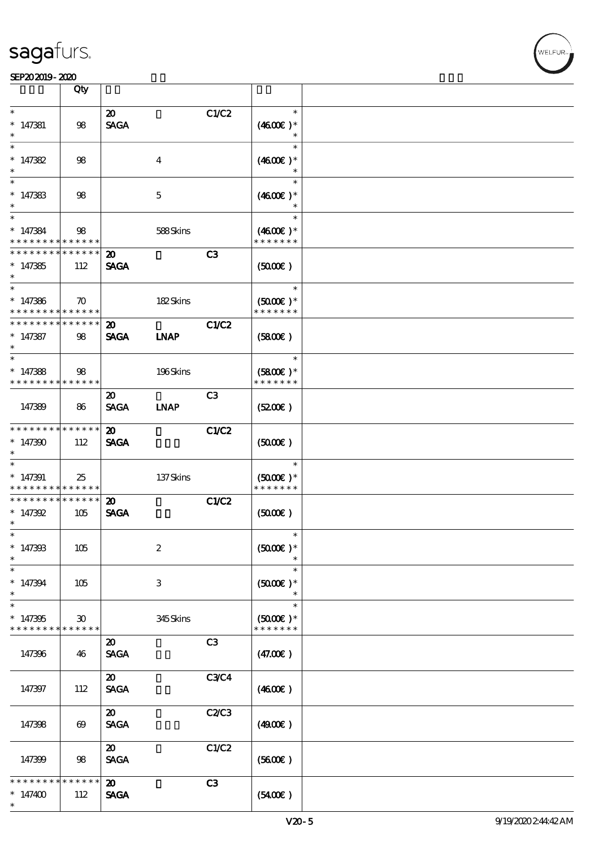|                                                    | Qty                               |                                            |                  |                |                                                 |  |
|----------------------------------------------------|-----------------------------------|--------------------------------------------|------------------|----------------|-------------------------------------------------|--|
| $\ast$<br>$* 147381$<br>$\ast$                     | 98                                | $\boldsymbol{\mathfrak{D}}$<br><b>SAGA</b> |                  | C1/C2          | $\ast$<br>$(4600E)*$                            |  |
| $\ast$<br>$* 147382$<br>$\ast$                     | 98                                |                                            | $\boldsymbol{4}$ |                | $\ast$<br>$(4600E)*$<br>$\ast$                  |  |
| $\ast$<br>$* 147383$<br>$\ast$                     | 98                                |                                            | $\mathbf 5$      |                | $\ast$<br>$(4600)$ *                            |  |
| $\ast$<br>$* 147384$<br>* * * * * * * *            | 98<br>* * * * * *                 |                                            | 588Skins         |                | $\ast$<br>$(460E)^*$<br>* * * * * * *           |  |
| * * * * * * * *<br>$*147385$<br>$\ast$             | * * * * * *<br>112                | $\boldsymbol{\mathfrak{D}}$<br><b>SAGA</b> |                  | C <sub>3</sub> | (5000)                                          |  |
| $\ast$<br>$* 147386$<br>* * * * * * * *            | $\boldsymbol{\pi}$<br>* * * * * * |                                            | 182Skins         |                | $\ast$<br>$(5000)$ *<br>* * * * * * *           |  |
| * * * * * * * *<br>$* 147387$<br>$\ast$            | * * * * * *<br>98                 | $\boldsymbol{\mathfrak{D}}$<br><b>SAGA</b> | <b>INAP</b>      | <b>C1/C2</b>   | (5800)                                          |  |
| $\ast$<br>$*147388$<br>* * * * * * * * * * * * * * | 98                                |                                            | 196Skins         |                | $\ast$<br>$(5800)$ *<br>* * * * * * *           |  |
| 147389                                             | 86                                | $\boldsymbol{\mathfrak{D}}$<br><b>SAGA</b> | <b>INAP</b>      | C <sub>3</sub> | (5200)                                          |  |
| * * * * * * * *<br>$*147390$<br>$\ast$             | * * * * * *<br>112                | $\boldsymbol{\mathfrak{D}}$<br><b>SAGA</b> |                  | <b>C1/C2</b>   | (5000)                                          |  |
| $\ast$<br>$*147391$<br>* * * * * * * *             | 25<br>* * * * * *                 |                                            | 137Skins         |                | $\ast$<br>$(5000\varepsilon)*$<br>* * * * * * * |  |
| * * * * * * * *<br>$* 147392$<br>$\ast$            | * * * * * *<br>105                | $\boldsymbol{\mathfrak{D}}$<br><b>SAGA</b> |                  | C1/C2          | $(5000\varepsilon)$                             |  |
| $*$<br>$* 14730B$<br>$\ast$                        | 105                               |                                            | $\boldsymbol{2}$ |                | $\ast$<br>$(5000)$ *                            |  |
| $\ast$<br>$* 147394$<br>$\ast$                     | 105                               |                                            | $\,3$            |                | $\ast$<br>$(5000\varepsilon)*$<br>$\ast$        |  |
| $\ast$<br>$*147395$<br>* * * * * * * *             | 30<br>* * * * * *                 |                                            | 345Skins         |                | $\ast$<br>$(5000\varepsilon)*$<br>* * * * * * * |  |
| 147396                                             | 46                                | $\boldsymbol{\mathfrak{D}}$<br><b>SAGA</b> |                  | C3             | (47.00)                                         |  |
| 147397                                             | 112                               | $\boldsymbol{\mathfrak{D}}$<br><b>SAGA</b> |                  | <b>C3C4</b>    | (460E)                                          |  |
| 147398                                             | $\boldsymbol{\omega}$             | $\boldsymbol{\mathfrak{D}}$<br><b>SAGA</b> |                  | C2C3           | (4900)                                          |  |
| 147399                                             | 98                                | $\boldsymbol{\mathfrak{D}}$<br><b>SAGA</b> |                  | C1/C2          | (5600)                                          |  |
| * * * *<br>$*147400$<br>$\ast$                     | * * * * * *<br>112                | $\boldsymbol{\mathfrak{D}}$<br><b>SAGA</b> |                  | C3             | (5400)                                          |  |

т

.<br>FLEUR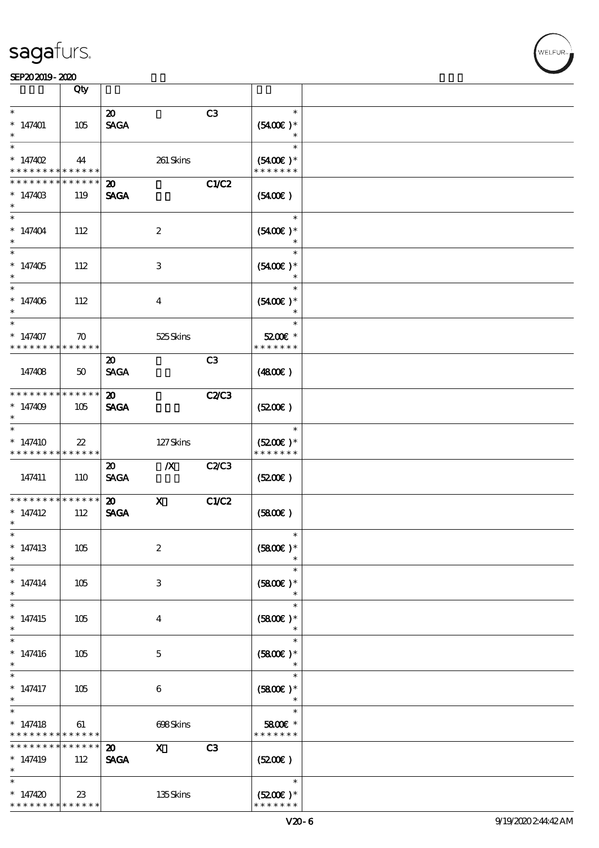|                                                          | Qty                          |                                            |                  |                |                                       |  |
|----------------------------------------------------------|------------------------------|--------------------------------------------|------------------|----------------|---------------------------------------|--|
| $\ast$                                                   |                              |                                            |                  |                | $\ast$                                |  |
| $*147401$<br>$\ast$                                      | 105                          | $\boldsymbol{\mathfrak{D}}$<br><b>SAGA</b> |                  | C3             | $(5400)$ *                            |  |
| $\ast$<br>* $147402$                                     | 44                           |                                            | 261 Skins        |                | $\ast$<br>$(5400)$ *                  |  |
| * * * * * * * *                                          | * * * * * *                  |                                            |                  |                | * * * * * * *                         |  |
| * * * * * * * *<br>$*14740B$                             | * * * * * *  <br>119         | $\boldsymbol{\mathfrak{D}}$<br><b>SAGA</b> |                  | C1/C2          | $(5400\varepsilon)$                   |  |
| $\ast$<br>$*147404$                                      | 112                          |                                            | $\boldsymbol{2}$ |                | $\ast$<br>$(5400)$ *<br>$\ast$        |  |
| $\overline{\ast}$<br>$*147405$                           | 112                          |                                            | 3                |                | $\ast$<br>$(5400)$ *                  |  |
| $\ast$<br>$* 147406$<br>$\ast$                           | 112                          |                                            | $\overline{4}$   |                | $\ast$<br>$(5400)$ *                  |  |
| $\overline{\phantom{0}}$<br>$*147407$<br>* * * * * * * * | $\boldsymbol{\pi}$<br>****** |                                            | 525Skins         |                | $\ast$<br>5200E *<br>* * * * * * *    |  |
| 147408                                                   | 50                           | $\boldsymbol{\mathfrak{D}}$<br><b>SAGA</b> |                  | C <sub>3</sub> | (480)                                 |  |
| * * * * * * * *<br>$*147409$<br>$^{\ast}$                | * * * * * *<br>105           | $\boldsymbol{\mathfrak{D}}$<br><b>SAGA</b> |                  | <b>C2/C3</b>   | (5200)                                |  |
| $\ast$<br>$*147410$<br>* * * * * * * *                   | $22\,$<br>* * * * * *        |                                            | 127Skins         |                | $\ast$<br>$(5200)$ *<br>* * * * * * * |  |
| 147411                                                   | 110                          | $\boldsymbol{\mathfrak{D}}$<br><b>SAGA</b> | $\boldsymbol{X}$ | C2C3           | (5200)                                |  |
| * * * * * * * *<br>$*147412$<br>$\ast$                   | * * * * * *<br>112           | $\boldsymbol{\mathfrak{D}}$<br><b>SAGA</b> | $\mathbf x$      | C1/C2          | (5800)                                |  |
| $\ast$<br>$*147413$<br>$\ast$                            | 105                          |                                            | $\boldsymbol{2}$ |                | $(5800)$ *                            |  |
| $\ast$<br>$* 147414$<br>$\ast$                           | 105                          |                                            | 3                |                | $\ast$<br>$(5800)$ *<br>$\ast$        |  |
| $\ast$<br>$*147415$<br>$\ast$                            | 105                          |                                            | $\bf{4}$         |                | $\ast$<br>$(5800)$ *<br>$\ast$        |  |
| $\ast$<br>$*147416$<br>$\ast$                            | 105                          |                                            | $\mathbf 5$      |                | $\ast$<br>$(5800)$ *<br>$\ast$        |  |
| $\ast$<br>$*$ 147417<br>$\ast$                           | 105                          |                                            | 6                |                | $\ast$<br>$(5800)$ *<br>$\ast$        |  |
| $\ast$<br>$* 147418$<br>* * * * * * * *                  | 61<br>* * * * * *            |                                            | 698Skins         |                | $\ast$<br>5800€ *<br>* * * * * * *    |  |
| * * * * * * * *<br>* 147419<br>$\ast$                    | * * * * * *<br>112           | $\boldsymbol{\mathfrak{D}}$<br><b>SAGA</b> | $\mathbf{x}$     | C3             | (5200)                                |  |
| $\ast$<br>$*147420$<br>* * * * * * * *                   | $23\,$<br>* * * * * *        |                                            | 135Skins         |                | $\ast$<br>$(5200)$ *<br>* * * * * * * |  |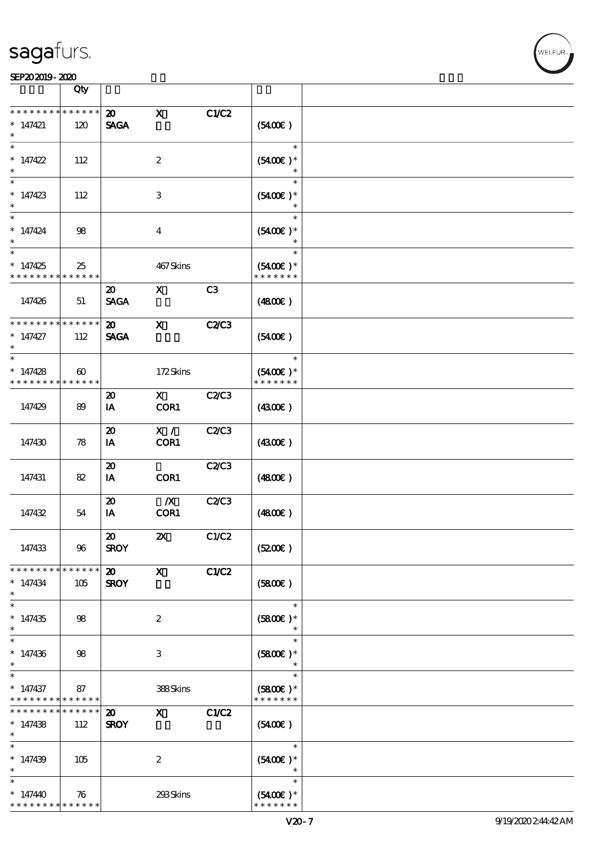#### $SED202019 - 2020$  $\overline{\phantom{a}}$  Qty  $\overline{\phantom{a}}$

|                                                                   | ৲৺                                   |                                            |                           |              |                                                         |  |
|-------------------------------------------------------------------|--------------------------------------|--------------------------------------------|---------------------------|--------------|---------------------------------------------------------|--|
| * * * * * * * * * * * * * *<br>$*147421$<br>$\ast$                | 120                                  | $\boldsymbol{\mathfrak{D}}$<br><b>SAGA</b> | $\mathbf x$               | C1/C2        | (5400)                                                  |  |
| $\ast$<br>$*147422$<br>$\ast$                                     | 112                                  |                                            | $\boldsymbol{2}$          |              | $\ast$<br>$(5400)$ *<br>$\ast$                          |  |
| $\ast$<br>$*147423$<br>$\ast$                                     | 112                                  |                                            | 3                         |              | $\ast$<br>$(5400)$ *                                    |  |
| $\ast$<br>$* 147424$                                              | 98                                   |                                            | $\bf{4}$                  |              | $\ast$<br>$(5400)$ *<br>$\ast$                          |  |
| $\ast$<br>$*147425$<br>* * * * * * * *                            | 25<br>* * * * * *                    |                                            | 467Skins                  |              | $\ast$<br>$(5400)$ *<br>* * * * * * *                   |  |
| 147426                                                            | 51                                   | $\boldsymbol{\mathfrak{D}}$<br><b>SAGA</b> | $\mathbf x$               | C3           | (4800)                                                  |  |
| * * * * * * * *<br>$*147427$                                      | $\ast\ast\ast\ast\ast\ast$<br>112    | $\boldsymbol{\mathfrak{D}}$<br><b>SAGA</b> | $\mathbf{x}$              | <b>C2/C3</b> | (5400)                                                  |  |
| $\ast$<br>$* 147428$<br>* * * * * * * *                           | $\boldsymbol{\omega}$<br>* * * * * * |                                            | 172Skins                  |              | $\overline{\phantom{a}}$<br>$(5400)$ *<br>* * * * * * * |  |
| 147429                                                            | 89                                   | $\boldsymbol{\mathbf{z}}$<br>IA            | $\mathbf{x}$<br>COR1      | C2C3         | (4300)                                                  |  |
| 147430                                                            | 78                                   | $\boldsymbol{\mathfrak{D}}$<br>IA          | X /<br>COR1               | C2/C3        | (4300)                                                  |  |
| 147431                                                            | 82                                   | $\boldsymbol{\mathsf{20}}$<br>IA           | COR1                      | C2C3         | (4800)                                                  |  |
| 147432                                                            | 54                                   | $\boldsymbol{\mathfrak{D}}$<br>IA          | $\boldsymbol{X}$<br>COR1  | C2C3         | (4800)                                                  |  |
| 147433                                                            | 96                                   | $\boldsymbol{\mathfrak{D}}$<br><b>SROY</b> | $\boldsymbol{\mathsf{z}}$ | C1/C2        | (5200)                                                  |  |
| * * * * * * * *<br>$*147434$<br>$\ast$                            | * * * * * *<br>105                   | $\boldsymbol{\mathsf{20}}$<br><b>SROY</b>  | $\boldsymbol{\mathrm{X}}$ | C1/C2        | (5800)                                                  |  |
| $\ast$<br>$*147435$<br>$\ast$                                     | 98                                   |                                            | $\boldsymbol{2}$          |              | $\ast$<br>$(5800)$ *                                    |  |
| $\overline{\ast}$<br>$*147436$<br>$\ast$                          | 98                                   |                                            | $\ensuremath{\mathsf{3}}$ |              | $\ast$<br>$(5800)$ *<br>$\ast$                          |  |
| $\ast$<br>$* 147437$<br>* * * * * * * *                           | 87<br>* * * * * *                    |                                            | 388Skins                  |              | $\ast$<br>$(5800)$ *<br>* * * * * * *                   |  |
| * * * * * * *<br>$*147438$<br>$\ast$                              | * * * * * *<br>112                   | $\boldsymbol{\mathfrak{D}}$<br><b>SROY</b> | $\mathbf{x}$              | <b>C1/C2</b> | (5400)                                                  |  |
| $\ast$<br>$*147439$<br>$\ast$                                     | 105                                  |                                            | $\boldsymbol{z}$          |              | $\ast$<br>$(5400)$ *<br>$\ast$                          |  |
| $\ast$<br>$*147440$<br>* * * * * * * * <mark>* * * * * * *</mark> | 76                                   |                                            | 293Skins                  |              | $\ast$<br>$(5400)$ *<br>* * * * * * *                   |  |

.<br>WELFUR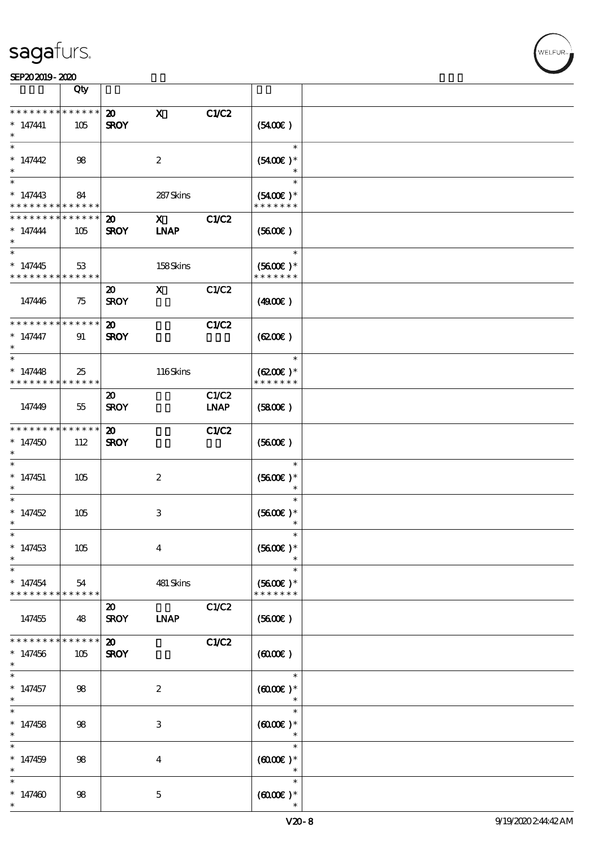|                                                        | Qty                    |                                            |                             |                      |                                          |  |
|--------------------------------------------------------|------------------------|--------------------------------------------|-----------------------------|----------------------|------------------------------------------|--|
| * * * * * * * *<br>$* 147441$                          | * * * * * *<br>105     | $\boldsymbol{\mathfrak{D}}$<br><b>SROY</b> | $\mathbf{x}$                | C1/C2                | $(5400\varepsilon)$                      |  |
| $\ast$<br>$* 147442$                                   | 98                     |                                            | $\boldsymbol{2}$            |                      | $\ast$<br>$(5400)$ *                     |  |
| $*147443$<br>* * * * * * * *                           | 84<br>* * * * * *      |                                            | 287 Skins                   |                      | $\ast$<br>$(5400)$ *<br>* * * * * * *    |  |
| * * * * * * * *<br>$* 147444$<br>$\ast$                | * * * * * *<br>105     | $\boldsymbol{\mathfrak{D}}$<br><b>SROY</b> | $\mathbf{X}$<br><b>INAP</b> | C1/C2                | (5600)                                   |  |
| $*147445$<br>* * * * * * * *                           | 53<br>******           |                                            | 158Skins                    |                      | $\ast$<br>$(5600)$ *<br>* * * * * * *    |  |
| 147446                                                 | 75                     | $\boldsymbol{\mathfrak{D}}$<br><b>SROY</b> | $\mathbf{x}$                | C1/C2                | (4900)                                   |  |
| * * * * * * * * <mark>* * * * * *</mark><br>$* 147447$ | 91                     | $\boldsymbol{\mathfrak{D}}$<br><b>SROY</b> |                             | C1/C2                | (6200)                                   |  |
| $\ast$<br>$*147448$<br>* * * * * * * *                 | 25<br>* * * * * *      |                                            | 116Skins                    |                      | $\ast$<br>$(6200)$ *<br>* * * * * * *    |  |
| 147449                                                 | 55                     | $\boldsymbol{\mathfrak{D}}$<br><b>SROY</b> |                             | C1/C2<br><b>LNAP</b> | (5800)                                   |  |
| * * * * * * * *<br>$*147450$<br>$\ast$                 | $* * * * * * *$<br>112 | $\boldsymbol{\mathfrak{D}}$<br><b>SROY</b> |                             | <b>C1/C2</b>         | (5600)                                   |  |
| $\ast$<br>$*147451$<br>$\ast$                          | 105                    |                                            | $\boldsymbol{2}$            |                      | $\ast$<br>$(5600)$ *<br>$\ast$           |  |
| $\ast$<br>$*147452$<br>$^{\ast}$                       | 105                    |                                            | 3                           |                      | $\ast$<br>$(5600)$ *<br>$\ast$           |  |
| $\ast$<br>$*147453$<br>$\ast$                          | 105                    |                                            | $\boldsymbol{4}$            |                      | $\ast$<br>$(5600)$ *                     |  |
| $\ast$<br>$*147454$<br>* * * * * * * *                 | 54<br>******           |                                            | 481 Skins                   |                      | $\ast$<br>$(5600)$ *<br>* * * * * * *    |  |
| 147455                                                 | 48                     | $\boldsymbol{\mathfrak{D}}$<br><b>SROY</b> | <b>INAP</b>                 | C1/C2                | (5600)                                   |  |
| * * * * * * *<br>$*147456$<br>$\ast$                   | * * * * * *<br>105     | $\boldsymbol{\mathfrak{D}}$<br><b>SROY</b> |                             | C1/C2                | (0,000)                                  |  |
| $\ast$<br>$*147457$<br>$\ast$                          | 98                     |                                            | $\boldsymbol{2}$            |                      | $\ast$<br>$(6000\varepsilon)*$<br>$\ast$ |  |
| $\ast$<br>$* 147458$<br>$\ast$                         | 98                     |                                            | 3                           |                      | $\ast$<br>$(6000\varepsilon)*$<br>$\ast$ |  |
| $\ast$<br>$*147459$                                    | 98                     |                                            | $\bf{4}$                    |                      | $\ast$<br>$(6000\varepsilon)*$<br>$\ast$ |  |
| $\ast$<br>$*147460$<br>$\ast$                          | 98                     |                                            | $\mathbf 5$                 |                      | $\ast$<br>(0,000)                        |  |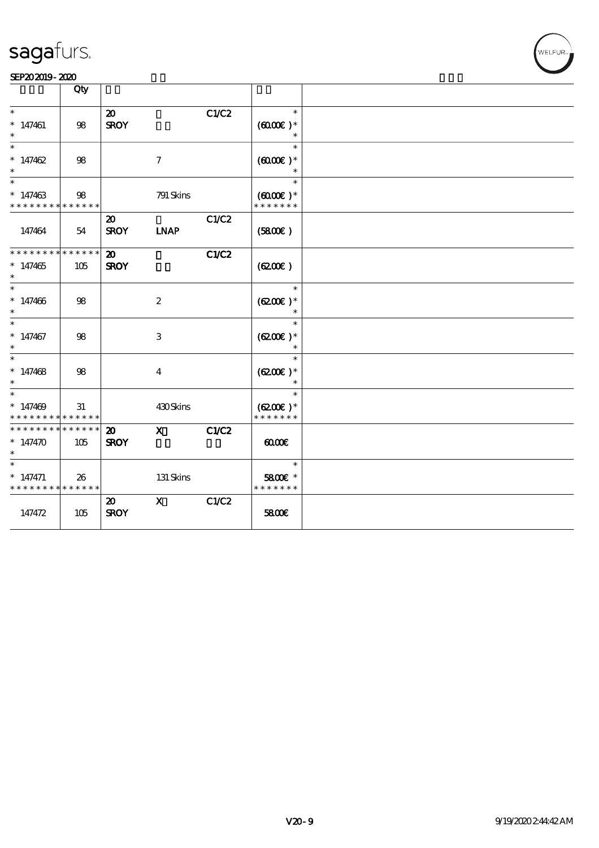# WELFUR-

|                                           | Qty |                                            |                           |       |                                |  |
|-------------------------------------------|-----|--------------------------------------------|---------------------------|-------|--------------------------------|--|
| $\ast$                                    |     | $\boldsymbol{\mathfrak{D}}$                |                           | C1/C2 | $\ast$                         |  |
| $* 147461$<br>$\ast$                      | 98  | <b>SROY</b>                                |                           |       | $(6000\varepsilon)*$<br>$\ast$ |  |
| $\ast$<br>$*147462$                       | 98  |                                            | $\boldsymbol{7}$          |       | $\ast$<br>$(6000\text{E})$ *   |  |
| $\ast$                                    |     |                                            |                           |       | $\ast$                         |  |
| $\ast$<br>$*147463$                       | 98  |                                            | 791 Skins                 |       | $\ast$<br>$(6000\varepsilon)*$ |  |
| * * * * * * * * * * * * * *               |     |                                            |                           |       | * * * * * * *                  |  |
| 147464                                    | 54  | $\boldsymbol{\mathfrak{D}}$<br><b>SROY</b> | <b>INAP</b>               | C1/C2 | (5800)                         |  |
|                                           |     |                                            |                           |       |                                |  |
| * * * * * * * * * * * * * *<br>$*147465$  | 105 | $\boldsymbol{\mathfrak{D}}$<br><b>SROY</b> |                           | C1/C2 | (6200)                         |  |
| $\ast$                                    |     |                                            |                           |       |                                |  |
| $\ast$<br>$*147406$                       | 98  |                                            | $\boldsymbol{2}$          |       | $\ast$<br>$(6200)$ *           |  |
| $\ast$                                    |     |                                            |                           |       |                                |  |
| $\ast$<br>$*147467$                       | 98  |                                            | $\ensuremath{\mathbf{3}}$ |       | $\ast$<br>$(6200)$ *           |  |
| $\ast$                                    |     |                                            |                           |       |                                |  |
| $\overline{\phantom{1}}$<br>$*147468$     | 98  |                                            | $\overline{\mathbf{4}}$   |       | $\ast$<br>$(6200\text{E})*$    |  |
| $\ast$                                    |     |                                            |                           |       |                                |  |
| $\ast$<br>$*147409$                       | 31  |                                            | 430Skins                  |       | $\ast$<br>$(6200)$ *           |  |
| * * * * * * * * * * * * * *               |     |                                            |                           |       | * * * * * * *                  |  |
| * * * * * * * * * * * * * *               |     | $\boldsymbol{\mathfrak{D}}$                | $\mathbf{x}$              | C1/C2 |                                |  |
| $* 147470$                                | 105 | <b>SROY</b>                                |                           |       | 00000                          |  |
| $\ast$                                    |     |                                            |                           |       | $\ast$                         |  |
| $*$ 147471<br>* * * * * * * * * * * * * * | 26  |                                            | 131 Skins                 |       | 5800€ *<br>* * * * * * *       |  |
|                                           |     | $\boldsymbol{\mathfrak{D}}$                | $\mathbf{x}$              | C1/C2 |                                |  |
| 147472                                    | 105 | <b>SROY</b>                                |                           |       | 5800E                          |  |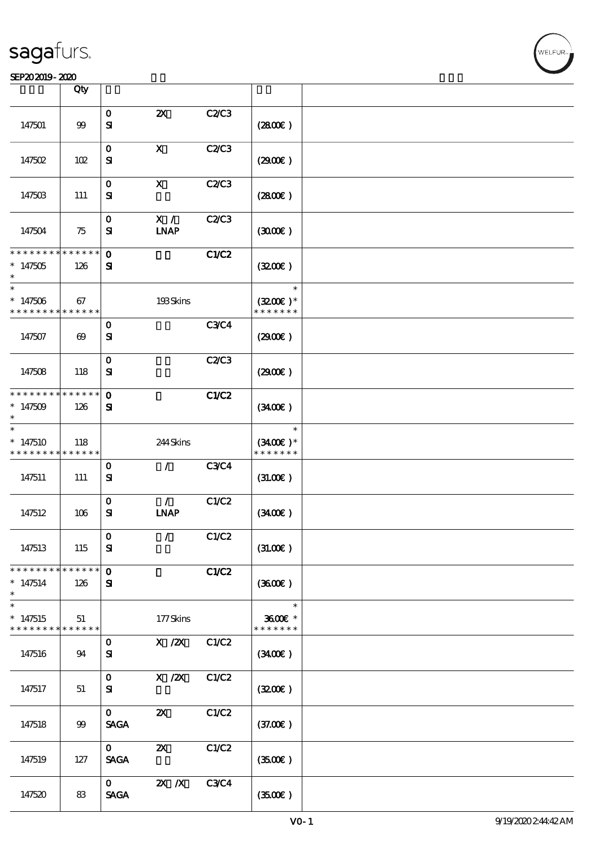|                                                                   | Qty                   |                             |                              |             |                                       |  |
|-------------------------------------------------------------------|-----------------------|-----------------------------|------------------------------|-------------|---------------------------------------|--|
|                                                                   |                       |                             |                              |             |                                       |  |
| 147501                                                            | $99$                  | $\mathbf O$<br>${\bf s}$    | $\boldsymbol{\mathsf{Z}}$    | C2/C3       | (280)                                 |  |
| 147502                                                            | 102                   | $\mathbf{o}$<br>${\bf s}$   | $\mathbf x$                  | C2/C3       | (2900)                                |  |
| 147503                                                            | 111                   | $\mathbf{o}$<br>${\bf s}$   | $\boldsymbol{\mathsf{X}}$    | C2/C3       | (280)                                 |  |
| 147504                                                            | 75                    | $\mathbf 0$<br>${\bf s}$    | X /<br><b>LNAP</b>           | C2/C3       | (300)                                 |  |
| * * * * * * * *<br>$*147505$                                      | ******<br>126         | $\mathbf 0$<br>${\bf s}$    |                              | C1/C2       | (320)                                 |  |
| $\ast$<br>$*147506$<br>* * * * * * * * <mark>* * * * * * *</mark> | 67                    |                             | 193Skins                     |             | $\ast$<br>$(3200)$ *<br>* * * * * * * |  |
| 147507                                                            | $\boldsymbol{\omega}$ | $\mathbf 0$<br>${\bf s}$    |                              | <b>C3C4</b> | (2900)                                |  |
| 147508                                                            | 118                   | $\mathbf{o}$<br>${\bf s}$   |                              | C2/C3       | (2900)                                |  |
| * * * * * * * *<br>* $147509$                                     | * * * * * *<br>126    | $\mathbf{o}$<br>${\bf s}$   |                              | C1/C2       | (3400)                                |  |
| $\ast$<br>$*147510$<br>* * * * * * * *                            | 118<br>* * * * * *    |                             | 244Skins                     |             | $\ast$<br>$(3400)$ *<br>* * * * * * * |  |
| 147511                                                            | 111                   | $\mathbf 0$<br>${\bf s}$    | $\mathcal{F}$                | <b>C3C4</b> | (31.00)                               |  |
| 147512                                                            | 106                   | $\mathbf{o}$<br>${\bf s}$   | $\mathcal{L}$<br><b>INAP</b> | C1/C2       | (3400)                                |  |
| 147513                                                            | 115                   | $\mathbf{o}$<br>${\bf s}$   | $\mathcal{L}$                | C1/C2       | (3L00E)                               |  |
| * * * * * * * *<br>$*147514$<br>$\ast$                            | ******<br>126         | $\mathbf{O}$<br>${\bf s}$   |                              | C1/C2       | (3600)                                |  |
| $\ast$<br>$*147515$<br>* * * * * * * *                            | 51<br>******          |                             | 177Skins                     |             | $\ast$<br>3600€ *<br>* * * * * * *    |  |
| 147516                                                            | 94                    | $\mathbf{O}$<br>${\bf s}$   | X / ZX                       | C1/C2       | (3400)                                |  |
| 147517                                                            | 51                    | $\mathbf{O}$<br>${\bf s}$   | X / ZX                       | C1/C2       | (320)                                 |  |
| 147518                                                            | 99                    | $\mathbf{O}$<br><b>SAGA</b> | $\boldsymbol{\mathsf{Z}}$    | C1/C2       | (37.00)                               |  |
| 147519                                                            | 127                   | $\mathbf{O}$<br><b>SAGA</b> | $\boldsymbol{\mathsf{Z}}$    | C1/C2       | (350)                                 |  |
| 147520                                                            | 83                    | $\mathbf{O}$<br><b>SAGA</b> | $X$ $N$                      | <b>C3C4</b> | (3500)                                |  |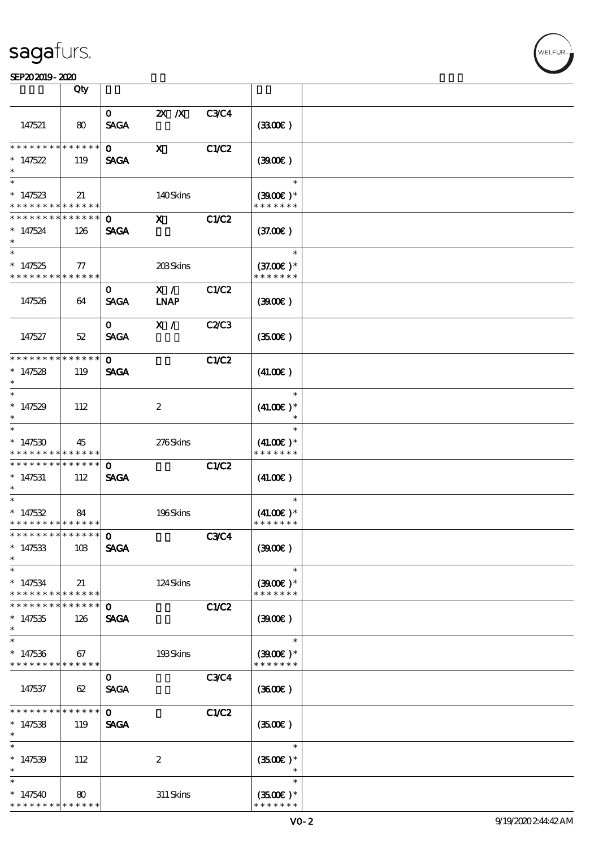### SEP202019-2020

|                                            | Qty             |              |                  |             |                   |  |
|--------------------------------------------|-----------------|--------------|------------------|-------------|-------------------|--|
|                                            |                 | $\mathbf{O}$ | $2X$ $X$         | <b>C3C4</b> |                   |  |
|                                            |                 |              |                  |             |                   |  |
| 147521                                     | 80              | <b>SAGA</b>  |                  |             | (3300)            |  |
| * * * * * * * *                            | ******          | $\mathbf{O}$ | $\mathbf{X}$     |             |                   |  |
|                                            |                 |              |                  | C1/C2       |                   |  |
| $*147522$                                  | 119             | <b>SAGA</b>  |                  |             | (300)             |  |
| $\ast$                                     |                 |              |                  |             | $\ast$            |  |
|                                            |                 |              |                  |             |                   |  |
| $*147523$                                  | 21              |              | 140Skins         |             | $(3900)$ *        |  |
| * * * * * * * * * * * * * * *              |                 |              |                  |             | * * * * * * *     |  |
| * * * * * * * *                            | $* * * * * * *$ | $\mathbf{0}$ | $\mathbf{x}$     | C1/C2       |                   |  |
| $*147524$                                  | 126             | <b>SAGA</b>  |                  |             | (37.00)           |  |
| $*$                                        |                 |              |                  |             |                   |  |
| $\overline{\ast}$                          |                 |              |                  |             | $\ast$            |  |
| $*147525$                                  | $77\,$          |              | 203Skins         |             | $(37.00)$ *       |  |
| * * * * * * * *                            | ******          |              |                  |             | * * * * * * *     |  |
|                                            |                 | 0            | X /              | C1/C2       |                   |  |
| 147526                                     | 64              | <b>SAGA</b>  | <b>INAP</b>      |             | (300)             |  |
|                                            |                 |              |                  |             |                   |  |
|                                            |                 | $\mathbf{O}$ | X /              | C2C3        |                   |  |
| 147527                                     | 52              | <b>SAGA</b>  |                  |             | (3500)            |  |
|                                            |                 |              |                  |             |                   |  |
| * * * * * * * * * * * * * *                |                 | $\mathbf{O}$ |                  | C1/C2       |                   |  |
| $*147528$                                  | 119             | <b>SAGA</b>  |                  |             | (41.00)           |  |
| $\ast$                                     |                 |              |                  |             |                   |  |
| $\ast$                                     |                 |              |                  |             | $\ast$            |  |
| $*147529$                                  | 112             |              | $\boldsymbol{2}$ |             | $(41.00)$ *       |  |
| $\ast$                                     |                 |              |                  |             | $\ast$            |  |
| $\ast$                                     |                 |              |                  |             | $\ast$            |  |
| $*147530$                                  | 45              |              | 276Skins         |             | $(41.00)$ *       |  |
| * * * * * * * * <mark>* * * * * *</mark>   |                 |              |                  |             | * * * * * * *     |  |
| ___<br>******** <mark>******</mark>        |                 | 0            |                  | C1/C2       |                   |  |
| $*147531$                                  | 112             | <b>SAGA</b>  |                  |             | (41.00)           |  |
| $\ast$                                     |                 |              |                  |             |                   |  |
| $\ast$                                     |                 |              |                  |             | $\ast$            |  |
| $*147532$                                  | 84              |              | 196Skins         |             | $(41.00)$ *       |  |
| * * * * * * * * <mark>* * * * * * *</mark> |                 |              |                  |             | * * * * * * *     |  |
| *************** 0                          |                 |              |                  | <b>C3C4</b> |                   |  |
| $*147533$                                  | 10B             | <b>SAGA</b>  |                  |             | (300)             |  |
| $\ast$                                     |                 |              |                  |             |                   |  |
| $\ast$                                     |                 |              |                  |             | $\ast$            |  |
| $*147534$                                  | 21              |              | 124Skins         |             | $(3900)$ *        |  |
| * * * * * * * *                            | * * * * * *     |              |                  |             | * * * * * * *     |  |
| * * * * * * * *                            | ******          | $\mathbf{o}$ |                  | C1/C2       |                   |  |
| $*147535$                                  | 126             | <b>SAGA</b>  |                  |             | (300)             |  |
| $\ast$                                     |                 |              |                  |             |                   |  |
| $\ast$                                     |                 |              |                  |             | $\ast$            |  |
| $*147536$                                  | 67              |              | 193Skins         |             | $(3900)$ *        |  |
| * * * * * * * * <mark>* * * * * *</mark>   |                 |              |                  |             | * * * * * * *     |  |
|                                            |                 | $\mathbf{O}$ |                  | <b>C3C4</b> |                   |  |
| 147537                                     | 62              | <b>SAGA</b>  |                  |             | (3600)            |  |
|                                            |                 |              |                  |             |                   |  |
| * * * * * * *                              | * * * * * *     | $\Omega$     |                  | C1/C2       |                   |  |
| $*147538$                                  | 119             | <b>SAGA</b>  |                  |             | (3500)            |  |
| $\ast$                                     |                 |              |                  |             |                   |  |
| $\ast$                                     |                 |              |                  |             | $\ast$            |  |
| $*147539$                                  | 112             |              | $\boldsymbol{2}$ |             | $(3500)$ *        |  |
| $\ast$                                     |                 |              |                  |             |                   |  |
| $\ast$                                     |                 |              |                  |             | $\ast$            |  |
| $*147540$                                  | 80              |              | $311$ Skins      |             | $(3500\text{E})*$ |  |
| * * * * * * * *                            | * * * * * *     |              |                  |             | * * * * * * *     |  |
|                                            |                 |              |                  |             |                   |  |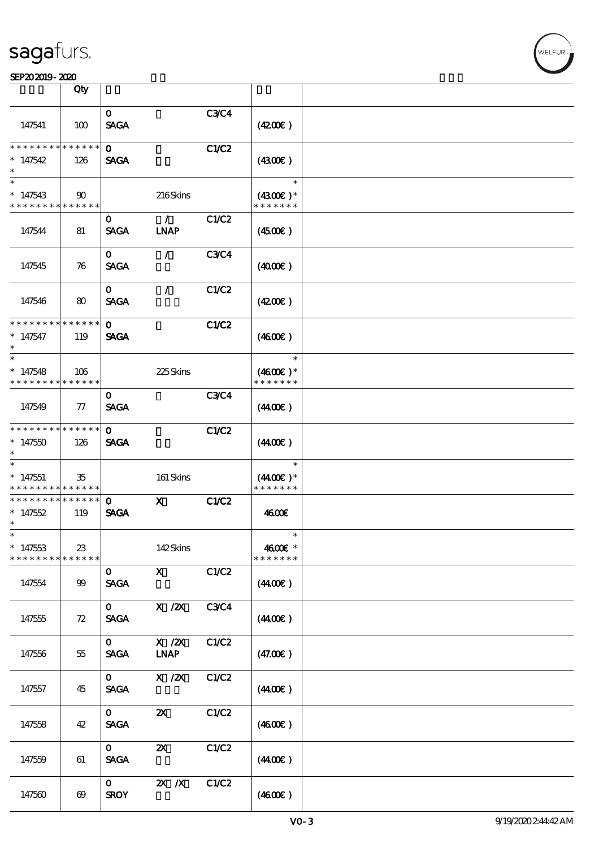|                                         | Qty                         |                             |                                            |             |                                       |  |
|-----------------------------------------|-----------------------------|-----------------------------|--------------------------------------------|-------------|---------------------------------------|--|
| 147541                                  | 100                         | $\mathbf{O}$<br><b>SAGA</b> |                                            | <b>C3C4</b> | (420)                                 |  |
| * * * * * * * *<br>$*147542$<br>$\ast$  | $******$<br>126             | $\Omega$<br><b>SAGA</b>     |                                            | C1/C2       | (430)                                 |  |
| $\ast$<br>$*147543$<br>* * * * * * * *  | $90^{\circ}$<br>* * * * * * |                             | 216Skins                                   |             | $\ast$<br>$(4300)$ *<br>* * * * * * * |  |
| 147544                                  | 81                          | 0<br><b>SAGA</b>            | $\mathcal{L}$<br><b>INAP</b>               | C1/C2       | (450E)                                |  |
| 147545                                  | 76                          | $\mathbf{O}$<br><b>SAGA</b> | $\mathcal{L}$                              | <b>C3C4</b> | (400E)                                |  |
| 147546                                  | 80                          | $\mathbf{O}$<br><b>SAGA</b> | $\mathcal{L}$                              | C1/C2       | (420)                                 |  |
| * * * * * * * *<br>$* 147547$<br>$\ast$ | * * * * * *<br>119          | $\mathbf{O}$<br><b>SAGA</b> |                                            | C1/C2       | (460E)                                |  |
| $\ast$<br>$*147548$<br>* * * * * * * *  | 106<br>$* * * * * * *$      |                             | 225Skins                                   |             | $\ast$<br>$(4600)$ *<br>* * * * * * * |  |
| 147549                                  | $\tau$                      | $\mathbf{o}$<br><b>SAGA</b> |                                            | <b>C3C4</b> | (440E)                                |  |
| * * * * * * * *<br>$*147550$<br>$\ast$  | * * * * * *<br>126          | $\mathbf{o}$<br><b>SAGA</b> |                                            | C1/C2       | (440E)                                |  |
| $\ast$<br>$*147551$<br>* * * * * * * *  | 35<br>* * * * * *           |                             | 161 Skins                                  |             | $\ast$<br>$(440E)^*$<br>* * * * * * * |  |
| * * * * * * * *<br>$*147552$<br>$\ast$  | ******<br>119               | $\mathbf{o}$<br><b>SAGA</b> | $\mathbf{x}$                               | C1/C2       | 4600E                                 |  |
| $*$<br>$*147553$<br>* * * * * * * *     | 23<br>* * * * * *           |                             | 142Skins                                   |             | $\ast$<br>4600€ *<br>* * * * * * *    |  |
| 147554                                  | 99                          | $\mathbf{O}$<br><b>SAGA</b> | $\mathbf{X}$                               | C1/C2       | (440E)                                |  |
| 147555                                  | 72                          | $\mathbf{O}$<br><b>SAGA</b> | $X$ / $ZX$                                 | <b>C3C4</b> | (440E)                                |  |
| 147556                                  | 55                          | $\mathbf{O}$<br><b>SAGA</b> | $X$ / $ZX$<br>$\ensuremath{\mathbf{INAP}}$ | C1/C2       | (47.00)                               |  |
| 147557                                  | 45                          | $\mathbf{O}$<br><b>SAGA</b> | $X \, /ZX$                                 | C1/C2       | (440E)                                |  |
| 147558                                  | 42                          | $\mathbf{O}$<br><b>SAGA</b> | $\boldsymbol{\mathsf{Z}}$                  | C1/C2       | (460E)                                |  |
| 147559                                  | 61                          | $\mathbf{O}$<br><b>SAGA</b> | $\boldsymbol{\mathsf{z}}$                  | C1/C2       | (440E)                                |  |
| 147560                                  | $\boldsymbol{\omega}$       | $\mathbf{O}$<br><b>SROY</b> | $X$ $N$                                    | C1/C2       | (460E)                                |  |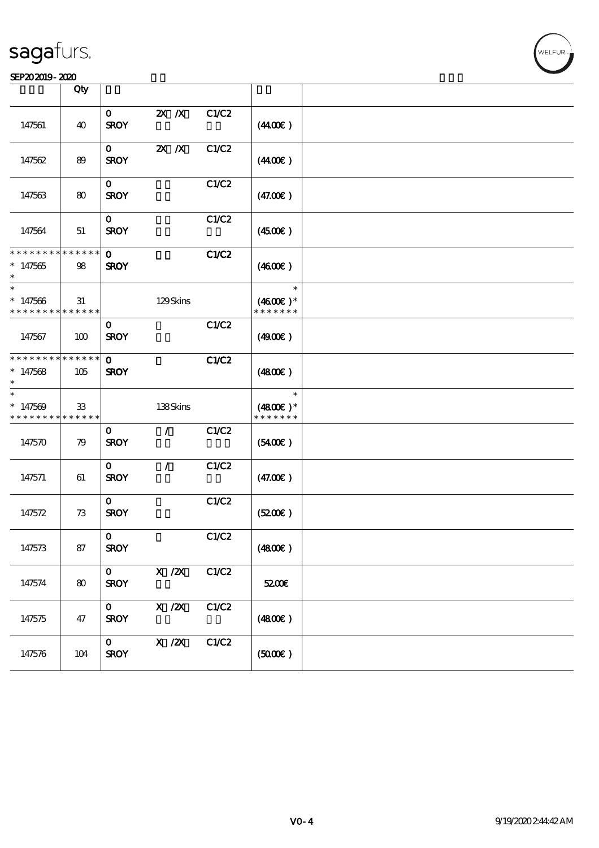#### SEP202019-2020 BEER AND EXAMPLE TO A LIMITED A LIMITED AND THE SEPEDENT CONTROL CONTROL CONTROL CONTROL CONTROL CONTROL CONTROL CONTROL CONTROL CONTROL CONTROL CONTROL CONTROL CONTROL CONTROL CONTROL CONTROL CONTROL CONTRO

|                                                    | Qty               |                             |               |       |                                       |  |
|----------------------------------------------------|-------------------|-----------------------------|---------------|-------|---------------------------------------|--|
| 147561                                             | 40                | $\mathbf{O}$<br><b>SROY</b> | $2X$ $X$      | C1/C2 | (440E)                                |  |
| 147562                                             | 89                | $\mathbf{O}$<br><b>SROY</b> | $X$ $N$       | C1/C2 | (440E)                                |  |
| 147563                                             | 80                | $\mathbf 0$<br><b>SROY</b>  |               | C1/C2 | (47.00)                               |  |
| 147564                                             | 51                | $\mathbf{O}$<br><b>SROY</b> |               | C1/C2 | (450E)                                |  |
| * * * * * * * * * * * * * *<br>$*147565$<br>$\ast$ | 98                | $\mathbf{o}$<br><b>SROY</b> |               | C1/C2 | (460E)                                |  |
| $\ast$<br>$*147566$<br>* * * * * * * *             | 31<br>* * * * * * |                             | 129Skins      |       | $\ast$<br>$(4600E)*$<br>* * * * * * * |  |
| 147567                                             | 100               | $\mathbf{O}$<br><b>SROY</b> |               | C1/C2 | (490E)                                |  |
| * * * * * * * * * * * * * *<br>$*147568$<br>$\ast$ | 105               | $\mathbf{O}$<br><b>SROY</b> |               | C1/C2 | (480)                                 |  |
| $\ast$<br>$*147569$<br>* * * * * * * * * * * * * * | 33                |                             | 138Skins      |       | $\ast$<br>$(4800)$ *<br>* * * * * * * |  |
| 147570                                             | 79                | $\mathbf{O}$<br><b>SROY</b> | $\mathcal{L}$ | C1/C2 | (5400)                                |  |
| 147571                                             | 61                | $\mathbf{O}$<br><b>SROY</b> | $\mathcal{L}$ | C1/C2 | (47.00)                               |  |
| 147572                                             | 73                | $\mathbf{O}$<br><b>SROY</b> |               | C1/C2 | (5200)                                |  |
| 147573                                             | 87                | $\mathbf{O}$<br><b>SROY</b> |               | C1/C2 | (4800)                                |  |
| 147574                                             | 80                | $\mathbf{o}$<br><b>SROY</b> | X / ZX        | C1/C2 | 5200E                                 |  |
| 147575                                             | 47                | $\mathbf{O}$<br><b>SROY</b> | $X$ / $ZX$    | C1/C2 | (480E)                                |  |
| 147576                                             | 104               | $\mathbf{O}$<br><b>SROY</b> | X / ZX        | C1/C2 | (5000)                                |  |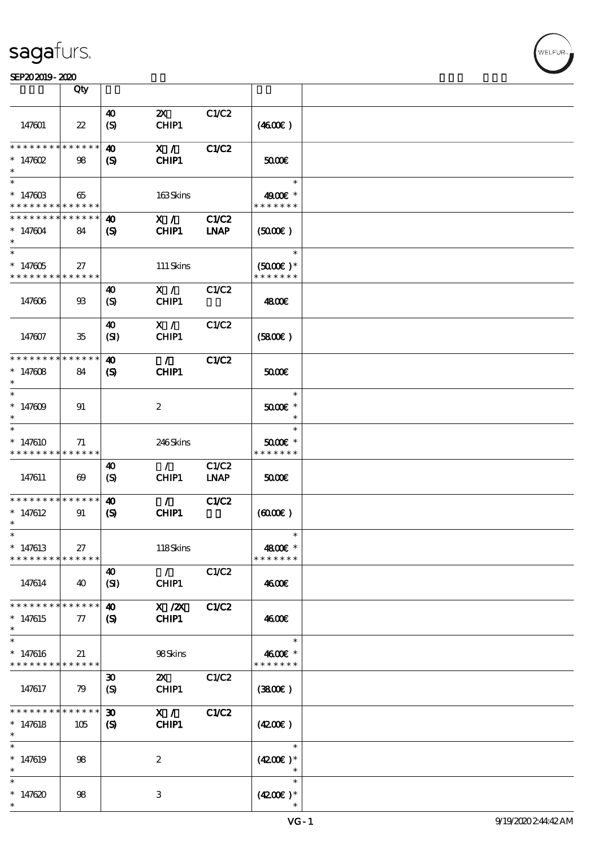#### SEP202019-2020 RUN BOOK ROOM AND RUN BOOK ROOM IN THE RESIDENCE SEPERATION CONTINUES.

|                                           | Qty                   |                             |                                    |                      |                             |  |
|-------------------------------------------|-----------------------|-----------------------------|------------------------------------|----------------------|-----------------------------|--|
|                                           |                       |                             |                                    |                      |                             |  |
| 147601                                    | $22\,$                | 40<br>(S)                   | $\boldsymbol{\mathsf{Z}}$<br>CHIP1 | C1/C2                | (460E)                      |  |
| * * * * * * * *                           | * * * * * *           | 40                          | X /                                | <b>C1/C2</b>         |                             |  |
| $* 147602$<br>$\ast$                      | 98                    | (S)                         | CHIP1                              |                      | 50000                       |  |
| $\ast$                                    |                       |                             |                                    |                      | $\ast$                      |  |
| $* 14760B$<br>* * * * * * * * * * * * * * | 65                    |                             | 163Skins                           |                      | 4900€ *<br>* * * * * * *    |  |
| * * * * * * * * * * * * * *               |                       | $\boldsymbol{\omega}$       | X /                                | <b>C1/C2</b>         |                             |  |
| $*147604$<br>$\ast$                       | 84                    | (S)                         | CHIP1                              | <b>INAP</b>          | (5000)                      |  |
| $\overline{\ast}$                         |                       |                             |                                    |                      | $\ast$                      |  |
| $* 147605$                                | 27                    |                             | 111 Skins                          |                      | $(5000)$ *                  |  |
| * * * * * * * * * * * * * *               |                       |                             |                                    |                      | * * * * * * *               |  |
| 147606                                    | $\mathfrak{B}$        | 40<br>$\boldsymbol{S}$      | $X / \sqrt{2}$<br>CHIP1            | C1/C2                | 4800€                       |  |
|                                           |                       | 40                          | X /                                | C1/C2                |                             |  |
| 147607                                    | 35                    | (SI)                        | CHIP1                              |                      | (5800)                      |  |
| * * * * * * * * * * * * * *               |                       | 40                          | $\mathcal{L}$                      | C1/C2                |                             |  |
| $* 147608$<br>$\ast$                      | 84                    | $\boldsymbol{\mathcal{S}}$  | CHIP1                              |                      | 5000E                       |  |
| $\ast$                                    |                       |                             |                                    |                      | $\ast$                      |  |
| $* 147609$<br>$\ast$                      | 91                    |                             | $\boldsymbol{2}$                   |                      | $50005$ *<br>$\ast$         |  |
| $\ast$                                    |                       |                             |                                    |                      | $\ast$                      |  |
| $*147610$<br>* * * * * * * * * * * * * *  | 71                    |                             | 246Skins                           |                      | $5000$ $*$<br>* * * * * * * |  |
|                                           |                       |                             |                                    |                      |                             |  |
| 147611                                    | $\boldsymbol{\omega}$ | 40<br>$\boldsymbol{S}$      | $\mathcal{L}$<br>CHIP1             | C1/C2<br><b>LNAP</b> | 5000                        |  |
| * * * * * * * *                           | * * * * * *           | $\boldsymbol{\omega}$       | $\mathcal{L}$                      | C1/C2                |                             |  |
| $*147612$                                 | 91                    |                             | CHIP1                              |                      |                             |  |
| $\ast$                                    |                       | $\boldsymbol{\mathcal{S}}$  |                                    |                      | $(6000\varepsilon)$         |  |
| $\ast$                                    |                       |                             |                                    |                      | $\ast$                      |  |
| $* 147613$                                | 27                    |                             | 118Skins                           |                      | 4800€ *                     |  |
| * * * * * * * *                           | * * * * * *           |                             |                                    |                      | * * * * * * *               |  |
|                                           |                       | 40                          | $\mathcal{L}$                      | C1/C2                |                             |  |
| 147614                                    | 40                    | (SI)                        | CHIP1                              |                      | 4600€                       |  |
| * * * * * * * *                           | * * * * * *           | 40                          | $X$ / $ZX$                         | C1/C2                |                             |  |
| $*147615$<br>$\ast$                       | ${\it 77}$            | $\boldsymbol{\mathrm{(S)}}$ | CHIP1                              |                      | 4600E                       |  |
| $\ast$                                    |                       |                             |                                    |                      | $\ast$                      |  |
| $* 147616$<br>* * * * * * * * * * * * * * | 21                    |                             | 98Skins                            |                      | 4600€ *<br>* * * * * * *    |  |
|                                           |                       | $\boldsymbol{\mathfrak{D}}$ | $\mathbf{x}$                       | C1/C2                |                             |  |
| 147617                                    | 79                    | $\boldsymbol{\mathrm{(S)}}$ | CHIP1                              |                      | (3800)                      |  |
| * * * * * * *                             | * * * * * *           | 30                          | X /                                | C1/C2                |                             |  |
| $*147618$<br>$\ast$                       | 105                   | $\boldsymbol{\mathrm{(S)}}$ | CHIP1                              |                      | (4200)                      |  |
| $\ast$                                    |                       |                             |                                    |                      | $\ast$                      |  |
| $*147619$<br>$\ast$                       | 98                    |                             | $\boldsymbol{2}$                   |                      | $(4200)$ *<br>$\ast$        |  |
| $\ast$                                    |                       |                             |                                    |                      | $\ast$                      |  |
| $*147620$<br>$\ast$                       | 98                    |                             | 3                                  |                      | $(4200)$ *                  |  |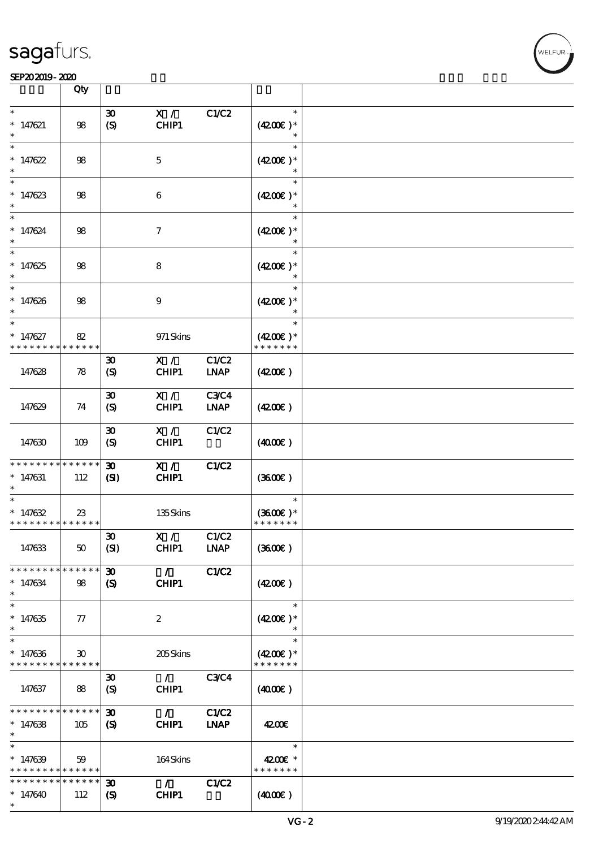|                                                                    | Qty                               |                                                           |                        |                             |                                       |  |
|--------------------------------------------------------------------|-----------------------------------|-----------------------------------------------------------|------------------------|-----------------------------|---------------------------------------|--|
| $\ast$                                                             |                                   | $\boldsymbol{\mathfrak{D}}$                               | X /                    | C1/C2                       | $\ast$                                |  |
| $* 147621$<br>$\ast$                                               | 98                                | (S)                                                       | CHIP1                  |                             | $(4200)$ *                            |  |
| $\ast$<br>$*147622$                                                | 98                                |                                                           | $\mathbf 5$            |                             | $\ast$<br>$(4200)$ *                  |  |
| $\ast$<br>$* 147623$<br>$\ast$                                     | 98                                |                                                           | 6                      |                             | $\ast$<br>$(4200)$ *                  |  |
| $\ast$<br>$* 147624$<br>$\ast$                                     | $98$                              |                                                           | $\boldsymbol{\tau}$    |                             | $\ast$<br>$(4200)$ *                  |  |
| $\overline{\ast}$<br>$* 147625$                                    | $98$                              |                                                           | $\bf 8$                |                             | $\ast$<br>$(4200)$ *<br>$\ast$        |  |
| $\ast$<br>$* 147626$<br>$\ast$                                     | $98$                              |                                                           | $\boldsymbol{9}$       |                             | $\ast$<br>$(4200)$ *<br>$\ast$        |  |
| $\ast$<br>$* 147627$<br>* * * * * * * *                            | 82<br>* * * * * *                 |                                                           | 971 Skins              |                             | $\ast$<br>$(4200)$ *<br>* * * * * * * |  |
| 147628                                                             | 78                                | $\boldsymbol{\mathfrak{D}}$<br>(S)                        | X /<br>CHIP1           | C1/C2<br><b>LNAP</b>        | (420)                                 |  |
| 147629                                                             | 74                                | $\boldsymbol{\mathfrak{D}}$<br>(S)                        | X /<br>CHIP1           | <b>C3C4</b><br><b>LNAP</b>  | (420)                                 |  |
| 147630                                                             | 109                               | $\boldsymbol{\mathfrak{D}}$<br>$\boldsymbol{S}$           | X /<br>CHIP1           | C1/C2                       | (400E)                                |  |
| * * * * * * * *<br>$* 147631$<br>$\ast$                            | * * * * * *<br>112                | $\boldsymbol{\mathfrak{D}}$<br>(S)                        | X /<br>CHIP1           | C1/C2                       | (360)                                 |  |
| $\ast$<br>$* 147632$<br>* * * * * * * * * * * * * *                | 23                                |                                                           | 135Skins               |                             | $\ast$<br>$(3600)$ *<br>* * * * * * * |  |
| 147633                                                             | 50                                | $\pmb{\mathfrak{D}}$<br>(SI)                              | X /<br>CHIP1           | C1/C2<br><b>LNAP</b>        | (360)                                 |  |
| * * * * * * * *<br>$*147634$<br>$\ast$                             | * * * * * *<br>98                 | 30 <sub>o</sub><br>$\mathbf{S}$                           | $\mathcal{L}$<br>CHIP1 | <b>C1/C2</b>                | (420)                                 |  |
| $\overline{\ast}$<br>$* 147635$<br>$\ast$                          | 77                                |                                                           | $\boldsymbol{z}$       |                             | $\ast$<br>$(4200)$ *                  |  |
| $\ast$<br>$*147636$<br>* * * * * * * * <mark>* * * * * * *</mark>  | 30                                |                                                           | 205Skins               |                             | $\ast$<br>$(4200)$ *<br>* * * * * * * |  |
| 147637                                                             | 88                                | $\boldsymbol{\mathfrak{D}}$<br>(S)                        | $\mathcal{L}$<br>CHIP1 | <b>C3C4</b>                 | (400E)                                |  |
| * * * * * * * *<br>$* 147638$<br>$\ast$                            | $\ast\ast\ast\ast\ast\ast$<br>105 | $\boldsymbol{\mathfrak{D}}$<br>(S)                        | $\mathcal{L}$<br>CHIP1 | <b>C1/C2</b><br><b>INAP</b> | 4200E                                 |  |
| $\ast$<br>$* 147639$<br>* * * * * * * * <mark>* * * * * * *</mark> | 59                                |                                                           | 164Skins               |                             | $\ast$<br>4200€ *<br>* * * * * * *    |  |
| * * * * * * * *<br>$*147640$<br>$\ast$                             | $* * * * * * *$<br>112            | $\boldsymbol{\mathfrak{D}}$<br>$\boldsymbol{\mathcal{S}}$ | $\mathcal{L}$<br>CHIP1 | C1/C2                       | (400E)                                |  |

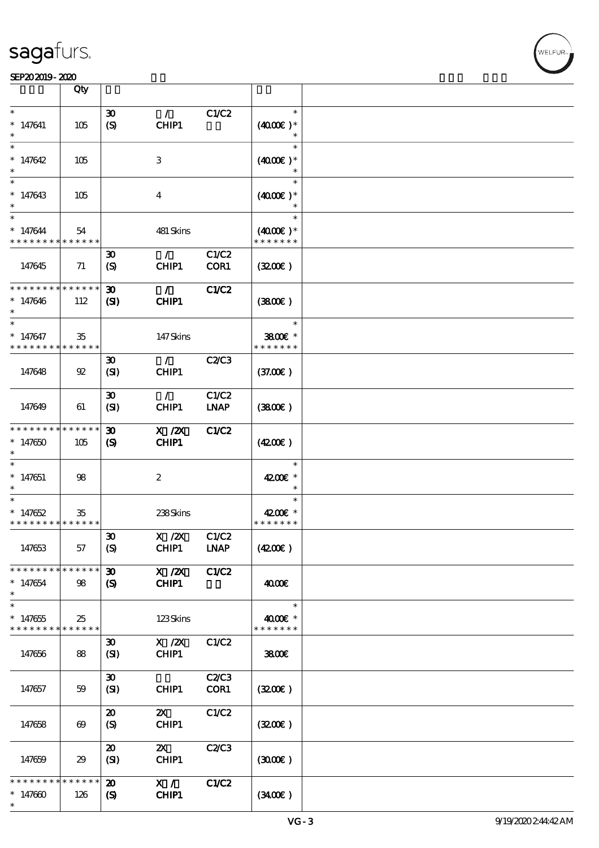#### SEP202019-2020 RUN BOOK ROOM AND RUN BOOK ROOM IN THE RESIDENCE SEPERATION CONTINUES.

|                                                     | Qty                   |                                                            |                                    |                      |                                       |  |
|-----------------------------------------------------|-----------------------|------------------------------------------------------------|------------------------------------|----------------------|---------------------------------------|--|
| $\ast$                                              |                       | $\boldsymbol{\mathfrak{D}}$                                | $\mathcal{L}$                      | C1/C2                | $\ast$                                |  |
| $* 147641$<br>$\ast$                                | 105                   | (S)                                                        | CHIP1                              |                      | $(4000)$ *<br>$\ast$                  |  |
| $\ast$<br>$*147642$                                 | 105                   |                                                            | 3                                  |                      | $\ast$<br>$(4000)$ *                  |  |
| $\ast$<br>$*147643$<br>$\ast$                       | 105                   |                                                            | $\bf{4}$                           |                      | $\ast$<br>$(4000)$ *                  |  |
| $\ast$<br>$* 147644$<br>* * * * * * * *             | 54<br>* * * * * *     |                                                            | 481 Skins                          |                      | $\ast$<br>$(4000)$ *<br>* * * * * * * |  |
| 147645                                              | 71                    | $\boldsymbol{\mathfrak{D}}$<br>(S)                         | $\mathcal{L}$<br>CHIP1             | C1/C2<br>COR1        | (320)                                 |  |
| * * * * * * * * * * * * * *<br>$*147646$<br>$\ast$  | 112                   | 30 <sub>o</sub><br>$\mathbf{S}$                            | $\mathcal{F}$<br>CHIP1             | <b>C1/C2</b>         | (3800)                                |  |
| $\ast$<br>$* 147647$<br>* * * * * * * *             | 35<br>* * * * * *     |                                                            | 147Skins                           |                      | $\ast$<br>3800€ *<br>* * * * * * *    |  |
| 147648                                              | 92                    | $\boldsymbol{\mathfrak{D}}$<br>(SI)                        | $\mathcal{F}$<br>CHIP1             | <b>C2/C3</b>         | (37.00)                               |  |
| 147649                                              | 61                    | $\boldsymbol{\mathfrak{D}}$<br>(SI)                        | $\mathcal{L}$<br>CHIP1             | C1/C2<br><b>LNAP</b> | (3800)                                |  |
| * * * * * * *<br>$*147650$<br>$\ast$                | * * * * * *<br>105    | $\boldsymbol{\mathfrak{D}}$<br>$\boldsymbol{\mathrm{(S)}}$ | $X$ / $ZX$<br><b>CHIP1</b>         | C1/C2                | (420)                                 |  |
| $\ast$<br>$* 147651$<br>$\ast$                      | 98                    |                                                            | $\boldsymbol{z}$                   |                      | $\ast$<br>4200€ *<br>$\ast$           |  |
| $\ast$<br>$* 147652$<br>* * * * * * * * * * * * * * | 35                    |                                                            | 238Skins                           |                      | $\ast$<br>4200€ *<br>* * * * * * *    |  |
| 147653                                              | 57                    | $\pmb{\mathfrak{D}}$<br>(S)                                | X / ZX<br>CHIP1                    | C1/C2<br><b>LNAP</b> | (4200)                                |  |
| * * * * * * * *<br>$*147654$<br>$\ast$              | ******<br>98          | $\boldsymbol{\mathfrak{D}}$<br>$\boldsymbol{\mathcal{S}}$  | $X$ / $ZX$<br>CHIP1                | <b>C1/C2</b>         | 4000€                                 |  |
| $\ast$<br>$* 147655$<br>* * * * * * * * * * * * * * | 25                    |                                                            | 123Skins                           |                      | $\ast$<br>4000€ *<br>* * * * * * *    |  |
| 147656                                              | 88                    | $\boldsymbol{\mathfrak{D}}$<br>(SI)                        | $X$ / $ZX$<br>CHIP1                | C1/C2                | 3800                                  |  |
| 147657                                              | 59                    | $\boldsymbol{\mathfrak{D}}$<br>(SI)                        | CHIP1                              | <b>C2/C3</b><br>COR1 | (320)                                 |  |
| 147658                                              | $\boldsymbol{\omega}$ | $\boldsymbol{\mathfrak{D}}$<br>(S)                         | $\boldsymbol{\mathsf{Z}}$<br>CHIP1 | C1/C2                | (320)                                 |  |
| 147659                                              | 29                    | $\boldsymbol{\mathfrak{D}}$<br>(SI)                        | $\boldsymbol{\mathsf{Z}}$<br>CHIP1 | C2/C3                | (300)                                 |  |
| * * * * * * * *<br>$* 147600$<br>$\ast$             | * * * * * *<br>126    | $\boldsymbol{\mathfrak{D}}$<br>$\boldsymbol{\mathcal{S}}$  | X /<br>CHIP1                       | C1/C2                | (340)                                 |  |

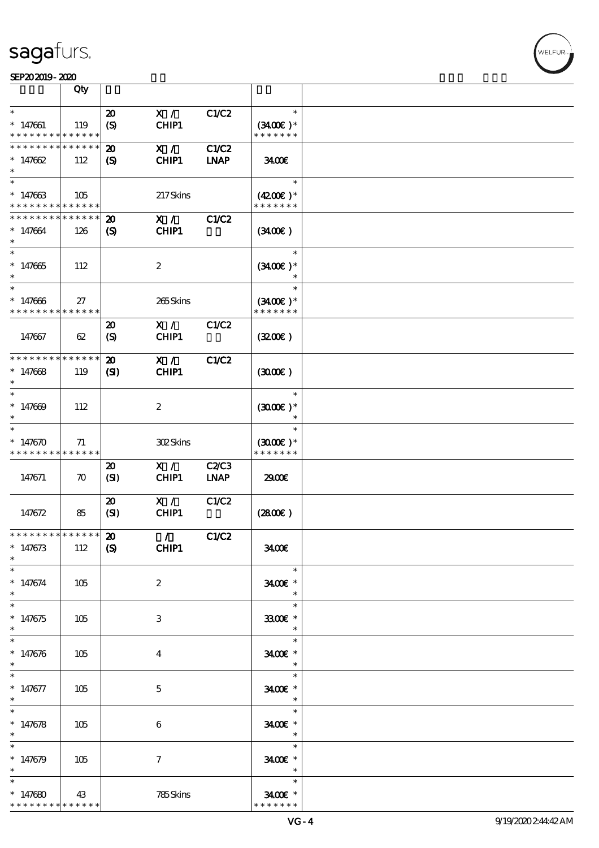#### SEP202019-2020 RUN BOOK ROOM AND RUN BOOK ROOM IN THE RESIDENCE SEPERATION CONTINUES.

|                                                                 | Qty                |                                                            |                               |                             |                                                |  |
|-----------------------------------------------------------------|--------------------|------------------------------------------------------------|-------------------------------|-----------------------------|------------------------------------------------|--|
| $\ast$<br>$* 147661$<br>* * * * * * * * * * * * * *             | 119                | $\boldsymbol{\mathfrak{D}}$<br>(S)                         | X /<br>CHIP1                  | C1/C2                       | $\ast$<br>$(3400)$ *<br>* * * * * * *          |  |
| * * * * * * * * * * * * * *<br>$*147662$<br>$\ast$              | 112                | $\boldsymbol{\mathfrak{D}}$<br>$\boldsymbol{\mathrm{(S)}}$ | X /<br>CHIP1                  | <b>C1/C2</b><br><b>LNAP</b> | 3400€                                          |  |
| $\ast$<br>$*147663$<br>* * * * * * * * * * * * * *              | 105                |                                                            | 217Skins                      |                             | $\ast$<br>$(4200)$ *<br>* * * * * * *          |  |
| * * * * * * * * <mark>* * * * * *</mark> *<br>$*147664$         | 126                | $\boldsymbol{\mathfrak{D}}$<br>$\boldsymbol{\mathrm{(S)}}$ | X /<br>CHIP1                  | <b>C1/C2</b>                | (340)                                          |  |
| $\ast$<br>$*147665$<br>$\ast$                                   | 112                |                                                            | $\boldsymbol{2}$              |                             | $\ast$<br>$(3400)$ *                           |  |
| $* 147666$<br>* * * * * * * * * * * * * *                       | 27                 |                                                            | 265Skins                      |                             | $\ast$<br>$(3400)$ *<br>* * * * * * *          |  |
| 147667                                                          | 62                 | $\boldsymbol{\mathbf{z}}$<br>(S)                           | X /<br>CHIP1                  | C1/C2                       | (320)                                          |  |
| * * * * * * * * * * * * * *<br>$*147668$<br>$\ast$              | 119                | $\boldsymbol{\mathbf{z}}$<br>$\mathbf{C}$                  | X /<br>CHIP1                  | <b>C1/C2</b>                | (300)                                          |  |
| $\ast$<br>$*147009$<br>$\ast$                                   | 112                |                                                            | $\boldsymbol{2}$              |                             | $\ast$<br>$(3000)$ *                           |  |
| $\ast$<br>$*147670$<br>* * * * * * * * <mark>* * * * * *</mark> | 71                 |                                                            | 302Skins                      |                             | $\ast$<br>$(3000)$ *<br>* * * * * * *          |  |
| 147671                                                          | $\boldsymbol{\pi}$ | $\boldsymbol{\mathfrak{D}}$<br>(SI)                        | X /<br>CHIP1                  | <b>C2/C3</b><br><b>LNAP</b> | 2900€                                          |  |
| 147672                                                          | 85                 | $\boldsymbol{\mathfrak{D}}$<br>(SI)                        | X /<br>CHIP1                  | C1/C2                       | (2800)                                         |  |
| * * * * * * * * * * * * * * *<br>$* 147673$<br>$\ast$<br>$\ast$ | 112                | $\boldsymbol{\mathfrak{D}}$<br>$\boldsymbol{S}$            | $\mathcal{L}$<br><b>CHIP1</b> | C1/C2                       | 3400<br>$\ast$                                 |  |
| $* 147674$<br>$\ast$<br>$\ast$                                  | 105                |                                                            | $\boldsymbol{2}$              |                             | 3400€ *<br>$\ast$<br>$\ast$                    |  |
| $* 147675$<br>$\ast$<br>$\ast$                                  | 105                |                                                            | 3                             |                             | 3300€ *<br>$\ast$<br>$\ast$                    |  |
| $* 147676$<br>$\ast$                                            | 105                |                                                            | 4                             |                             | 3400€ *<br>$\ast$<br>$\ast$                    |  |
| $* 147677$<br>$\ast$                                            | 105                |                                                            | $\mathbf{5}$                  |                             | $3400$ *<br>$\overline{\phantom{a}}$<br>$\ast$ |  |
| $* 147678$<br>$\ast$<br>$\ast$                                  | 105                |                                                            | $\boldsymbol{6}$              |                             | 3400€ *<br>$\overline{\phantom{a}}$<br>$\ast$  |  |
| $* 147679$<br>$\ast$                                            | 105                |                                                            | $\boldsymbol{\tau}$           |                             | 3400€ *<br>$\ast$<br>$\ast$                    |  |
| $*147680$<br>* * * * * * * *                                    | 43<br>* * * * * *  |                                                            | 785Skins                      |                             | 3400€ *<br>* * * * * * *                       |  |

WELFUR<sub>1</sub>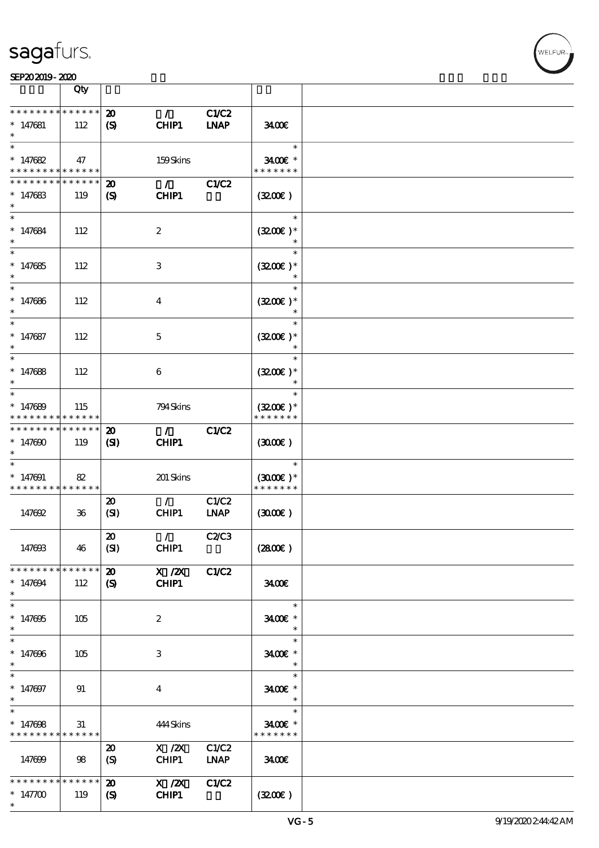**NELFUR** 

|                                                    | Qty                |                                                           |                        |                             |                                       |  |
|----------------------------------------------------|--------------------|-----------------------------------------------------------|------------------------|-----------------------------|---------------------------------------|--|
| * * * * * * * *<br>$*147681$<br>$\ast$             | * * * * * *<br>112 | $\boldsymbol{\mathfrak{D}}$<br>$\boldsymbol{\mathcal{S}}$ | $\mathcal{L}$<br>CHIP1 | <b>C1/C2</b><br><b>INAP</b> | 3400                                  |  |
| $\ast$<br>$*147682$<br>* * * * * * * *             | 47<br>* * * * * *  |                                                           | 159Skins               |                             | $\ast$<br>3400€ *<br>* * * * * * *    |  |
| * * * * * * *<br>$* 147683$<br>$\ast$              | * * * * * *<br>119 | $\boldsymbol{\mathbf{z}}$<br>$\boldsymbol{\mathcal{S}}$   | $\mathcal{L}$<br>CHIP1 | C1/C2                       | (320)                                 |  |
| $\ast$<br>$* 147684$<br>$\ast$                     | 112                |                                                           | $\boldsymbol{2}$       |                             | $\ast$<br>$(3200)$ *                  |  |
| $\overline{\ast}$<br>$* 147685$<br>$\ast$          | 112                |                                                           | 3                      |                             | $\ast$<br>$(3200)$ *<br>$\ast$        |  |
| $\ast$<br>$* 147686$<br>$\ast$                     | 112                |                                                           | $\boldsymbol{4}$       |                             | $\ast$<br>$(3200)$ *<br>$\ast$        |  |
| $\ast$<br>$* 147687$<br>$\ast$                     | 112                |                                                           | $\mathbf 5$            |                             | $\ast$<br>$(3200)$ *<br>$\ast$        |  |
| $\ast$<br>$* 147688$<br>$\ast$                     | 112                |                                                           | 6                      |                             | $\ast$<br>$(3200)$ *<br>$\ast$        |  |
| $\ast$<br>$*147689$<br>* * * * * * * *             | 115<br>* * * * * * |                                                           | 794 Skins              |                             | $\ast$<br>$(3200)$ *<br>* * * * * * * |  |
| * * * * * * * *<br>$*147000$<br>$\ast$             | * * * * * *<br>119 | $\boldsymbol{\mathfrak{D}}$<br>(S)                        | $\mathcal{L}$<br>CHIP1 | <b>C1/C2</b>                | (300)                                 |  |
| $\ast$<br>$*147091$<br>* * * * * * * *             | 82<br>* * * * * *  |                                                           | 201 Skins              |                             | $\ast$<br>$(300E)*$<br>* * * * * * *  |  |
| 147692                                             | $36\,$             | $\boldsymbol{\mathbf{z}}$<br>(SI)                         | $\mathcal{L}$<br>CHIP1 | C1/C2<br><b>LNAP</b>        | (300)                                 |  |
| 147693                                             | 46                 | $\boldsymbol{\mathfrak{D}}$<br>(SI)                       | $\mathcal{L}$<br>CHIP1 | <b>C2/C3</b>                | (2800)                                |  |
| * * * * * * * *<br>$* 147094$<br>$\ast$            | * * * * * *<br>112 | $\boldsymbol{\mathbf{z}}$<br>$\mathbf{S}$                 | X / ZX<br>CHIP1        | C1/C2                       | 3400                                  |  |
| $\overline{\ast}$<br>$*147005$<br>$\ast$           | 105                |                                                           | $\boldsymbol{2}$       |                             | $\ast$<br>3400€ *<br>$\ast$           |  |
| $\ast$<br>$* 147696$<br>$\ast$                     | 105                |                                                           | 3                      |                             | $\ast$<br>3400€ *<br>$\ast$           |  |
| $\overline{\phantom{0}}$<br>$* 147697$<br>$\ast$   | 91                 |                                                           | $\boldsymbol{4}$       |                             | $\ast$<br>3400€ *<br>$\ast$           |  |
| $\overline{\ast}$<br>$* 147608$<br>* * * * * * * * | 31<br>* * * * * *  |                                                           | 444Skins               |                             | $\ast$<br>3400€ *<br>* * * * * * *    |  |
| 147699                                             | 98                 | $\boldsymbol{\mathfrak{D}}$<br>(S)                        | X / ZX<br>CHIP1        | C1/C2<br><b>LNAP</b>        | 3400                                  |  |
| * * * * * * * *<br>$*147700$<br>$\ast$             | * * * * * *<br>119 | $\boldsymbol{\mathfrak{D}}$<br>$\boldsymbol{\mathcal{S}}$ | X / ZX<br>CHIP1        | <b>C1/C2</b>                | (320)                                 |  |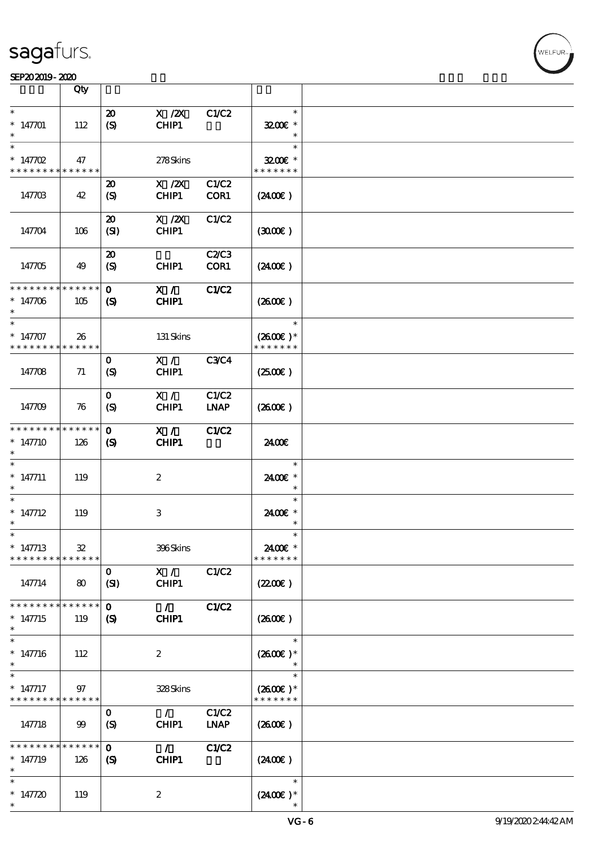

|                                                     | Qty                       |                                                            |                           |                      |                                       |  |
|-----------------------------------------------------|---------------------------|------------------------------------------------------------|---------------------------|----------------------|---------------------------------------|--|
| $\ast$<br>$*147701$<br>$\ast$                       | 112                       | $\boldsymbol{\mathfrak{D}}$<br>(S)                         | $X$ / $ZX$<br>CHIP1       | C1/C2                | $\ast$<br>3200E *                     |  |
| $\ast$<br>$* 147702$<br>* * * * * * * * * * * * * * | 47                        |                                                            | 278Skins                  |                      | $\ast$<br>$3200$ $*$<br>* * * * * * * |  |
| 147703                                              | 42                        | $\boldsymbol{\mathfrak{D}}$<br>$\boldsymbol{S}$            | $X$ / $ZX$<br>CHIP1       | C1/C2<br>COR1        | $(2400\varepsilon)$                   |  |
| 147704                                              | 106                       | $\boldsymbol{\mathbf{z}}$<br>(SI)                          | $X$ / $ZX$<br>CHIP1       | C1/C2                | (300)                                 |  |
| 147705                                              | 49                        | $\boldsymbol{\mathfrak{D}}$<br>$\boldsymbol{\mathrm{(S)}}$ | CHIP1                     | <b>C2/C3</b><br>COR1 | $(2400\varepsilon)$                   |  |
| * * * * * * * *<br>$*147706$<br>$\ast$              | * * * * * *<br>105        | $\mathbf{o}$<br>$\boldsymbol{\mathcal{S}}$                 | X /<br>CHIP1              | <b>C1/C2</b>         | (260E)                                |  |
| $\ast$<br>$* 147707$<br>* * * * * * * *             | 26<br>* * * * * *         |                                                            | 131 Skins                 |                      | $\ast$<br>$(2600)$ *<br>* * * * * * * |  |
| 147708                                              | 71                        | $\mathbf{o}$<br>$\boldsymbol{S}$                           | X /<br>CHIP1              | <b>C3C4</b>          | (250)                                 |  |
| 147709                                              | 76                        | $\mathbf{o}$<br>(S)                                        | X /<br>CHIP1              | C1/C2<br><b>LNAP</b> | (2600)                                |  |
| * * * * * * * *<br>$*147710$                        | * * * * * *<br>126        | $\mathbf 0$<br>$\boldsymbol{\mathcal{S}}$                  | X /<br>CHIP1              | <b>C1/C2</b>         | 2400€                                 |  |
| $*$ 147711                                          | 119                       |                                                            | $\boldsymbol{2}$          |                      | $\ast$<br>2400€ *                     |  |
| $\ast$<br>$* 147712$<br>$\ast$                      | 119                       |                                                            | $\ensuremath{\mathbf{3}}$ |                      | $\ast$<br>2400€ *<br>$\ast$           |  |
| $\ast$<br>$* 147713$<br>* * * * * * * *             | ${\bf 32}$<br>* * * * * * |                                                            | 396Skins                  |                      | $\ast$<br>2400€ *<br>* * * * * * *    |  |
| 147714                                              | 80                        | $\mathbf{o}$<br>(SI)                                       | X /<br>CHIP1              | C1/C2                | (220E)                                |  |
| * * * * * * *<br>$* 147715$<br>$\ast$               | * * * * * *<br>119        | $\mathbf{o}$<br>$\boldsymbol{\mathsf{S}}$                  | $\mathcal{L}$<br>CHIP1    | C1/C2                | (2600)                                |  |
| $\ast$<br>$* 147716$<br>$\ast$                      | 112                       |                                                            | $\boldsymbol{2}$          |                      | $\ast$<br>$(2600E)*$                  |  |
| $\ast$<br>$*147717$<br>* * * * * * * *              | 97<br>* * * * * *         |                                                            | 328Skins                  |                      | $\ast$<br>$(2600E)*$<br>* * * * * * * |  |
| 147718                                              | 99                        | $\mathbf{o}$<br>$\mathcal{S}$                              | $\mathcal{L}$<br>CHIP1    | C1/C2<br><b>LNAP</b> | $(2600\varepsilon)$                   |  |
| * * * * * * *<br>$*147719$<br>$\ast$                | * * * * * *<br>126        | $\mathbf 0$<br>$\boldsymbol{S}$                            | $\mathcal{L}$<br>CHIP1    | C1/C2                | (2400)                                |  |
| $\ast$<br>$* 147720$<br>$\ast$                      | 119                       |                                                            | $\boldsymbol{2}$          |                      | $\ast$<br>$(2400\varepsilon)*$        |  |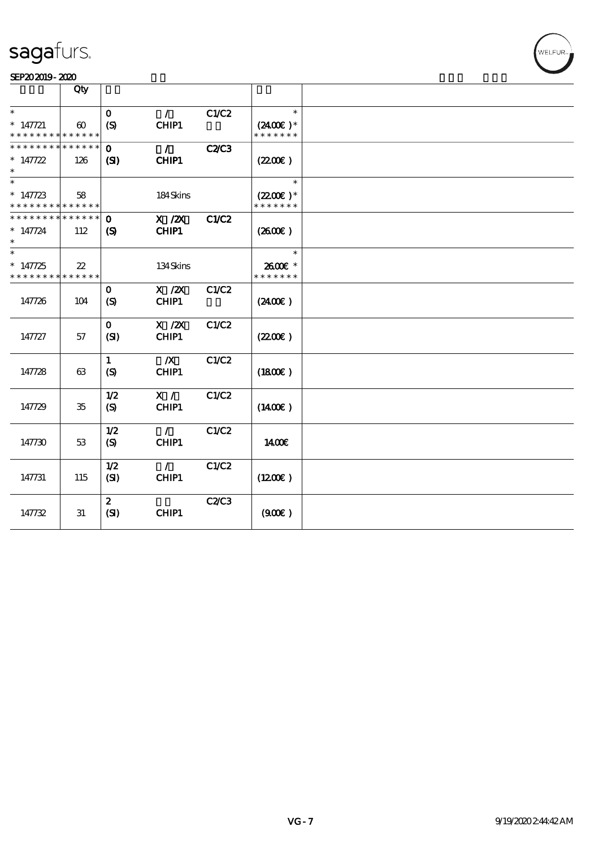

|                                           | Qty                   |                      |                           |              |                                       |  |
|-------------------------------------------|-----------------------|----------------------|---------------------------|--------------|---------------------------------------|--|
| $\ast$                                    |                       | $\mathbf{O}$         | $\mathcal{L}$             | C1/C2        | $\ast$                                |  |
| $* 147721$<br>* * * * * * * * * * * * * * | $\boldsymbol{\omega}$ | (S)                  | CHIP1                     |              | $(2400)$ *<br>* * * * * * *           |  |
| * * * * * * * * * * * * * *               |                       | $\mathbf{o}$         | $\mathcal{L}$             | <b>C2/C3</b> |                                       |  |
| $* 147722$                                | 126                   | (S)                  | CHIP1                     |              | (220)                                 |  |
| $\ast$                                    |                       |                      |                           |              | $\ast$                                |  |
| $*147723$<br>* * * * * * * * * * * * * *  | 58                    |                      | 184Skins                  |              | $(2200\varepsilon)*$<br>* * * * * * * |  |
| * * * * * * * * * * * * * *               |                       | $\mathbf{o}$         | $X$ / $ZX$                | C1/C2        |                                       |  |
| $* 147724$                                | 112                   | $\boldsymbol{S}$     | CHIP1                     |              | $(2600\varepsilon)$                   |  |
| $\ast$                                    |                       |                      |                           |              | $\ast$                                |  |
| $* 147725$<br>* * * * * * * * * * * * * * | $22\,$                |                      | 134Skins                  |              | 2600€ *<br>* * * * * * *              |  |
| 147726                                    | 104                   | $\mathbf{o}$<br>(S)  | $X$ / $ZX$<br>CHIP1       | C1/C2        | (2400)                                |  |
| 147727                                    | 57                    | $\mathbf{o}$<br>(SI) | $X$ / $ZX$<br>CHIP1       | C1/C2        | (220E)                                |  |
| 147728                                    | 63                    | 1<br>(S)             | $\boldsymbol{X}$<br>CHIP1 | C1/C2        | (1800)                                |  |
| 147729                                    | 35                    | 1/2<br>(S)           | X /<br>CHIP1              | C1/C2        | $(1400\varepsilon)$                   |  |
| 147730                                    | 53                    | 1/2<br>(S)           | $\mathcal{L}$<br>CHIP1    | C1/C2        | 1400E                                 |  |
| 147731                                    | 115                   | 1/2<br>(SI)          | $\mathcal{L}$<br>CHIP1    | C1/C2        | (1200E)                               |  |
| 147732                                    | 31                    | $\mathbf{z}$<br>(SI) | CHIP1                     | <b>C2/C3</b> | (900)                                 |  |